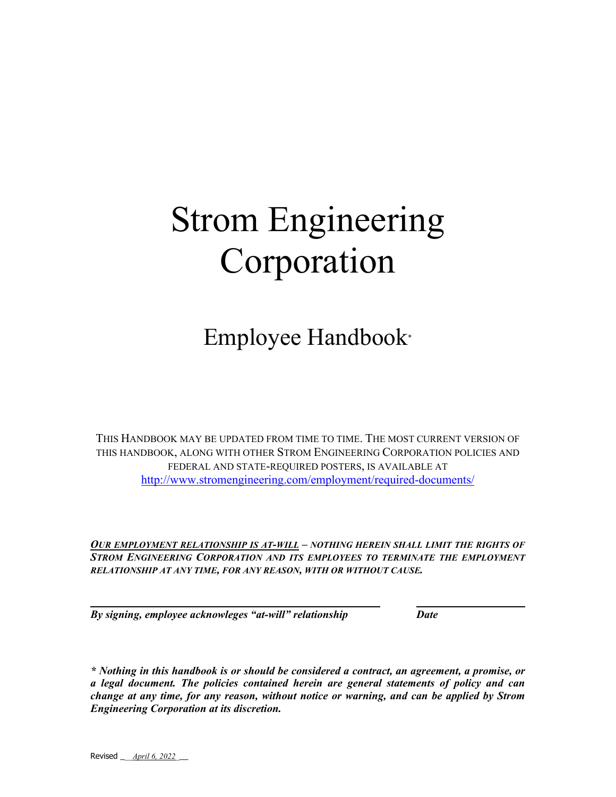# Strom Engineering Corporation

Employee Handbook\*

THIS HANDBOOK MAY BE UPDATED FROM TIME TO TIME. THE MOST CURRENT VERSION OF THIS HANDBOOK, ALONG WITH OTHER STROM ENGINEERING CORPORATION POLICIES AND FEDERAL AND STATE-REQUIRED POSTERS, IS AVAILABLE AT http://www.stromengineering.com/employment/required-documents/

*OUR EMPLOYMENT RELATIONSHIP IS AT-WILL – NOTHING HEREIN SHALL LIMIT THE RIGHTS OF*  **STROM ENGINEERING CORPORATION AND ITS EMPLOYEES TO TERMINATE THE EMPLOYMENT** *RELATIONSHIP AT ANY TIME, FOR ANY REASON, WITH OR WITHOUT CAUSE.* 

*By signing, employee acknowleges "at-will" relationship Date* 

*\* Nothing in this handbook is or should be considered a contract, an agreement, a promise, or a legal document. The policies contained herein are general statements of policy and can change at any time, for any reason, without notice or warning, and can be applied by Strom Engineering Corporation at its discretion.*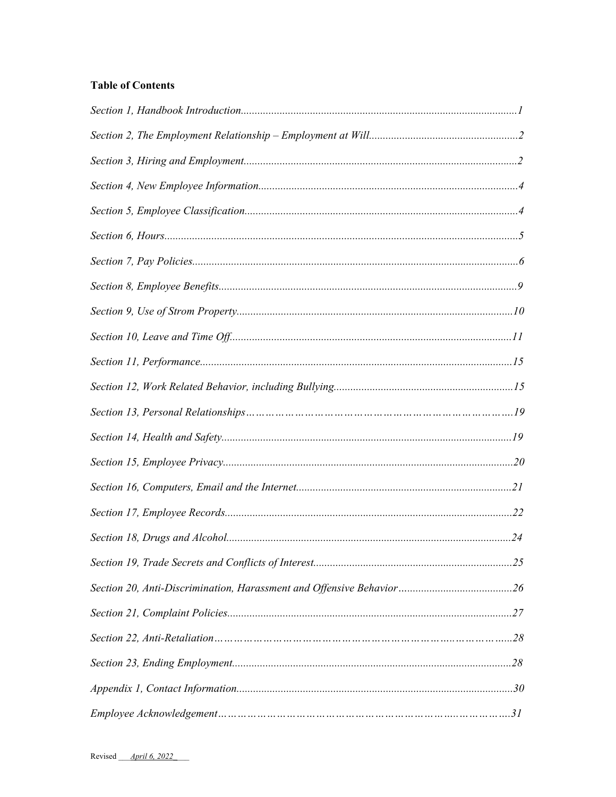# **Table of Contents**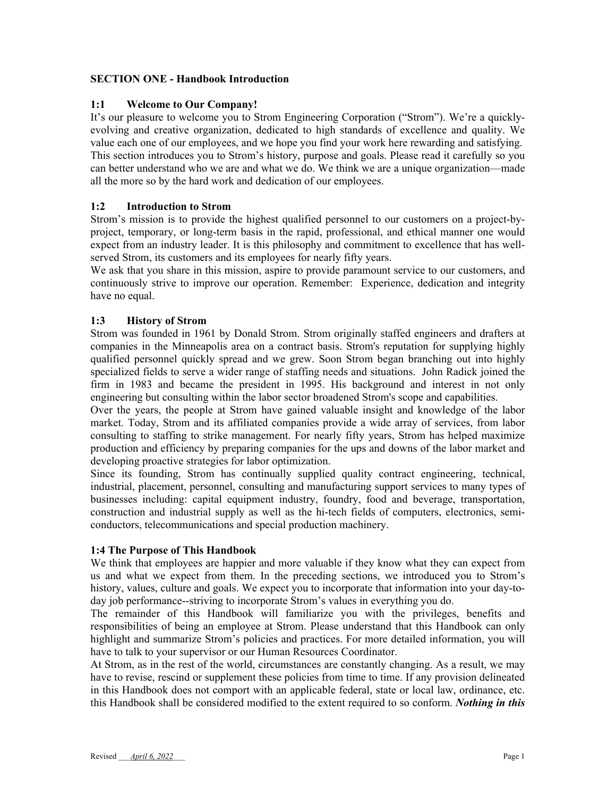#### **SECTION ONE - Handbook Introduction**

#### **1:1 Welcome to Our Company!**

It's our pleasure to welcome you to Strom Engineering Corporation ("Strom"). We're a quicklyevolving and creative organization, dedicated to high standards of excellence and quality. We value each one of our employees, and we hope you find your work here rewarding and satisfying. This section introduces you to Strom's history, purpose and goals. Please read it carefully so you can better understand who we are and what we do. We think we are a unique organization—made all the more so by the hard work and dedication of our employees.

#### **1:2 Introduction to Strom**

Strom's mission is to provide the highest qualified personnel to our customers on a project-byproject, temporary, or long-term basis in the rapid, professional, and ethical manner one would expect from an industry leader. It is this philosophy and commitment to excellence that has wellserved Strom, its customers and its employees for nearly fifty years.

We ask that you share in this mission, aspire to provide paramount service to our customers, and continuously strive to improve our operation. Remember: Experience, dedication and integrity have no equal.

#### **1:3 History of Strom**

Strom was founded in 1961 by Donald Strom. Strom originally staffed engineers and drafters at companies in the Minneapolis area on a contract basis. Strom's reputation for supplying highly qualified personnel quickly spread and we grew. Soon Strom began branching out into highly specialized fields to serve a wider range of staffing needs and situations. John Radick joined the firm in 1983 and became the president in 1995. His background and interest in not only engineering but consulting within the labor sector broadened Strom's scope and capabilities.

Over the years, the people at Strom have gained valuable insight and knowledge of the labor market. Today, Strom and its affiliated companies provide a wide array of services, from labor consulting to staffing to strike management. For nearly fifty years, Strom has helped maximize production and efficiency by preparing companies for the ups and downs of the labor market and developing proactive strategies for labor optimization.

Since its founding, Strom has continually supplied quality contract engineering, technical, industrial, placement, personnel, consulting and manufacturing support services to many types of businesses including: capital equipment industry, foundry, food and beverage, transportation, construction and industrial supply as well as the hi-tech fields of computers, electronics, semiconductors, telecommunications and special production machinery.

#### **1:4 The Purpose of This Handbook**

We think that employees are happier and more valuable if they know what they can expect from us and what we expect from them. In the preceding sections, we introduced you to Strom's history, values, culture and goals. We expect you to incorporate that information into your day-today job performance--striving to incorporate Strom's values in everything you do.

The remainder of this Handbook will familiarize you with the privileges, benefits and responsibilities of being an employee at Strom. Please understand that this Handbook can only highlight and summarize Strom's policies and practices. For more detailed information, you will have to talk to your supervisor or our Human Resources Coordinator.

At Strom, as in the rest of the world, circumstances are constantly changing. As a result, we may have to revise, rescind or supplement these policies from time to time. If any provision delineated in this Handbook does not comport with an applicable federal, state or local law, ordinance, etc. this Handbook shall be considered modified to the extent required to so conform. *Nothing in this*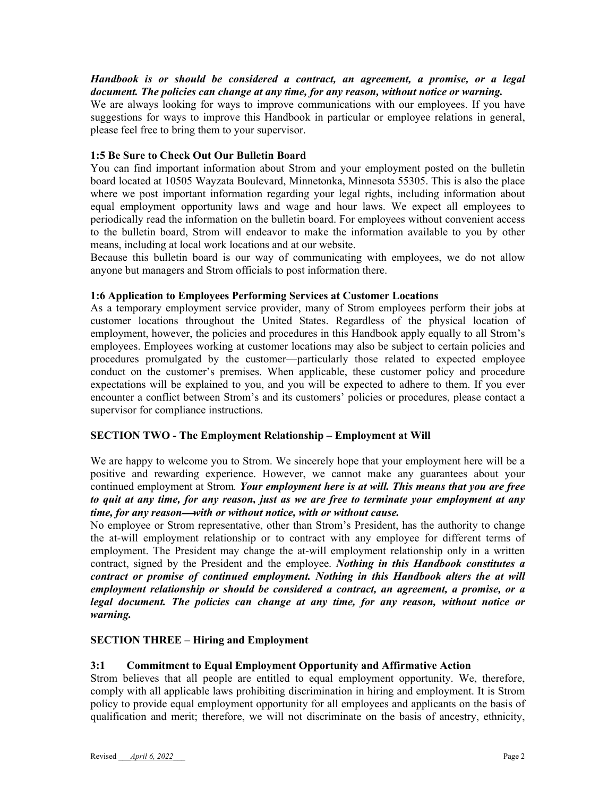*Handbook is or should be considered a contract, an agreement, a promise, or a legal document. The policies can change at any time, for any reason, without notice or warning.*

We are always looking for ways to improve communications with our employees. If you have suggestions for ways to improve this Handbook in particular or employee relations in general, please feel free to bring them to your supervisor.

#### **1:5 Be Sure to Check Out Our Bulletin Board**

You can find important information about Strom and your employment posted on the bulletin board located at 10505 Wayzata Boulevard, Minnetonka, Minnesota 55305. This is also the place where we post important information regarding your legal rights, including information about equal employment opportunity laws and wage and hour laws. We expect all employees to periodically read the information on the bulletin board. For employees without convenient access to the bulletin board, Strom will endeavor to make the information available to you by other means, including at local work locations and at our website.

Because this bulletin board is our way of communicating with employees, we do not allow anyone but managers and Strom officials to post information there.

#### **1:6 Application to Employees Performing Services at Customer Locations**

As a temporary employment service provider, many of Strom employees perform their jobs at customer locations throughout the United States. Regardless of the physical location of employment, however, the policies and procedures in this Handbook apply equally to all Strom's employees. Employees working at customer locations may also be subject to certain policies and procedures promulgated by the customer—particularly those related to expected employee conduct on the customer's premises. When applicable, these customer policy and procedure expectations will be explained to you, and you will be expected to adhere to them. If you ever encounter a conflict between Strom's and its customers' policies or procedures, please contact a supervisor for compliance instructions.

#### **SECTION TWO - The Employment Relationship – Employment at Will**

We are happy to welcome you to Strom. We sincerely hope that your employment here will be a positive and rewarding experience. However, we cannot make any guarantees about your continued employment at Strom*. Your employment here is at will. This means that you are free to quit at any time, for any reason, just as we are free to terminate your employment at any time, for any reasonwith or without notice, with or without cause.*

No employee or Strom representative, other than Strom's President, has the authority to change the at-will employment relationship or to contract with any employee for different terms of employment. The President may change the at-will employment relationship only in a written contract, signed by the President and the employee. *Nothing in this Handbook constitutes a contract or promise of continued employment. Nothing in this Handbook alters the at will employment relationship or should be considered a contract, an agreement, a promise, or a legal document. The policies can change at any time, for any reason, without notice or warning.*

#### **SECTION THREE – Hiring and Employment**

#### **3:1 Commitment to Equal Employment Opportunity and Affirmative Action**

Strom believes that all people are entitled to equal employment opportunity. We, therefore, comply with all applicable laws prohibiting discrimination in hiring and employment. It is Strom policy to provide equal employment opportunity for all employees and applicants on the basis of qualification and merit; therefore, we will not discriminate on the basis of ancestry, ethnicity,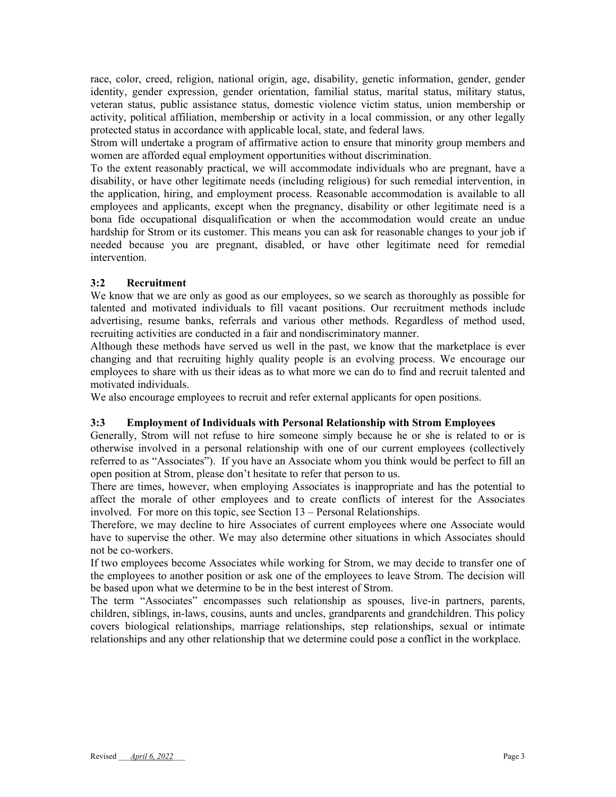race, color, creed, religion, national origin, age, disability, genetic information, gender, gender identity, gender expression, gender orientation, familial status, marital status, military status, veteran status, public assistance status, domestic violence victim status, union membership or activity, political affiliation, membership or activity in a local commission, or any other legally protected status in accordance with applicable local, state, and federal laws.

Strom will undertake a program of affirmative action to ensure that minority group members and women are afforded equal employment opportunities without discrimination.

To the extent reasonably practical, we will accommodate individuals who are pregnant, have a disability, or have other legitimate needs (including religious) for such remedial intervention, in the application, hiring, and employment process. Reasonable accommodation is available to all employees and applicants, except when the pregnancy, disability or other legitimate need is a bona fide occupational disqualification or when the accommodation would create an undue hardship for Strom or its customer. This means you can ask for reasonable changes to your job if needed because you are pregnant, disabled, or have other legitimate need for remedial intervention.

#### **3:2 Recruitment**

We know that we are only as good as our employees, so we search as thoroughly as possible for talented and motivated individuals to fill vacant positions. Our recruitment methods include advertising, resume banks, referrals and various other methods. Regardless of method used, recruiting activities are conducted in a fair and nondiscriminatory manner.

Although these methods have served us well in the past, we know that the marketplace is ever changing and that recruiting highly quality people is an evolving process. We encourage our employees to share with us their ideas as to what more we can do to find and recruit talented and motivated individuals.

We also encourage employees to recruit and refer external applicants for open positions.

#### **3:3 Employment of Individuals with Personal Relationship with Strom Employees**

Generally, Strom will not refuse to hire someone simply because he or she is related to or is otherwise involved in a personal relationship with one of our current employees (collectively referred to as "Associates"). If you have an Associate whom you think would be perfect to fill an open position at Strom, please don't hesitate to refer that person to us.

There are times, however, when employing Associates is inappropriate and has the potential to affect the morale of other employees and to create conflicts of interest for the Associates involved. For more on this topic, see Section 13 – Personal Relationships.

Therefore, we may decline to hire Associates of current employees where one Associate would have to supervise the other. We may also determine other situations in which Associates should not be co-workers.

If two employees become Associates while working for Strom, we may decide to transfer one of the employees to another position or ask one of the employees to leave Strom. The decision will be based upon what we determine to be in the best interest of Strom.

The term "Associates" encompasses such relationship as spouses, live-in partners, parents, children, siblings, in-laws, cousins, aunts and uncles, grandparents and grandchildren. This policy covers biological relationships, marriage relationships, step relationships, sexual or intimate relationships and any other relationship that we determine could pose a conflict in the workplace.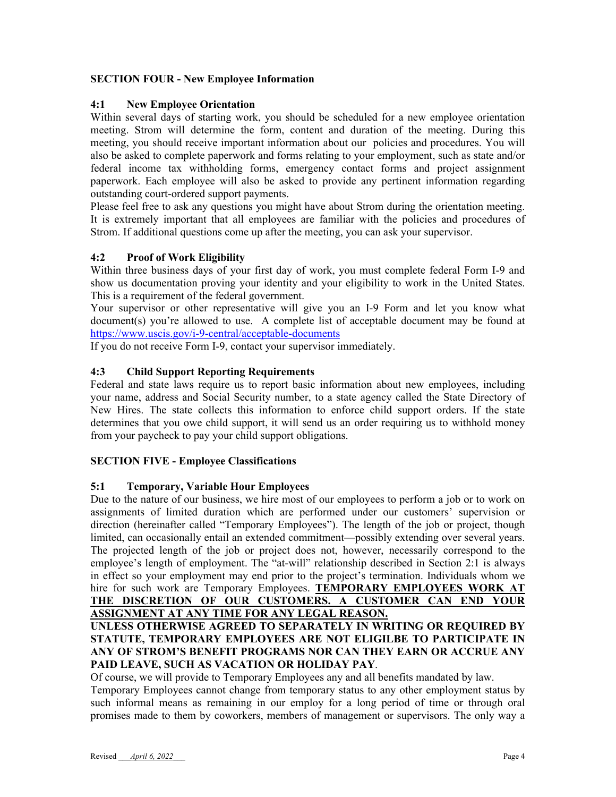## **SECTION FOUR - New Employee Information**

## **4:1 New Employee Orientation**

Within several days of starting work, you should be scheduled for a new employee orientation meeting. Strom will determine the form, content and duration of the meeting. During this meeting, you should receive important information about our policies and procedures. You will also be asked to complete paperwork and forms relating to your employment, such as state and/or federal income tax withholding forms, emergency contact forms and project assignment paperwork. Each employee will also be asked to provide any pertinent information regarding outstanding court-ordered support payments.

Please feel free to ask any questions you might have about Strom during the orientation meeting. It is extremely important that all employees are familiar with the policies and procedures of Strom. If additional questions come up after the meeting, you can ask your supervisor.

## **4:2 Proof of Work Eligibility**

Within three business days of your first day of work, you must complete federal Form I-9 and show us documentation proving your identity and your eligibility to work in the United States. This is a requirement of the federal government.

Your supervisor or other representative will give you an I-9 Form and let you know what document(s) you're allowed to use. A complete list of acceptable document may be found at https://www.uscis.gov/i-9-central/acceptable-documents

If you do not receive Form I-9, contact your supervisor immediately.

## **4:3 Child Support Reporting Requirements**

Federal and state laws require us to report basic information about new employees, including your name, address and Social Security number, to a state agency called the State Directory of New Hires. The state collects this information to enforce child support orders. If the state determines that you owe child support, it will send us an order requiring us to withhold money from your paycheck to pay your child support obligations.

#### **SECTION FIVE - Employee Classifications**

#### **5:1 Temporary, Variable Hour Employees**

Due to the nature of our business, we hire most of our employees to perform a job or to work on assignments of limited duration which are performed under our customers' supervision or direction (hereinafter called "Temporary Employees"). The length of the job or project, though limited, can occasionally entail an extended commitment—possibly extending over several years. The projected length of the job or project does not, however, necessarily correspond to the employee's length of employment. The "at-will" relationship described in Section 2:1 is always in effect so your employment may end prior to the project's termination. Individuals whom we hire for such work are Temporary Employees. **TEMPORARY EMPLOYEES WORK AT THE DISCRETION OF OUR CUSTOMERS. A CUSTOMER CAN END YOUR ASSIGNMENT AT ANY TIME FOR ANY LEGAL REASON.**

## **UNLESS OTHERWISE AGREED TO SEPARATELY IN WRITING OR REQUIRED BY STATUTE, TEMPORARY EMPLOYEES ARE NOT ELIGILBE TO PARTICIPATE IN ANY OF STROM'S BENEFIT PROGRAMS NOR CAN THEY EARN OR ACCRUE ANY PAID LEAVE, SUCH AS VACATION OR HOLIDAY PAY**.

Of course, we will provide to Temporary Employees any and all benefits mandated by law.

Temporary Employees cannot change from temporary status to any other employment status by such informal means as remaining in our employ for a long period of time or through oral promises made to them by coworkers, members of management or supervisors. The only way a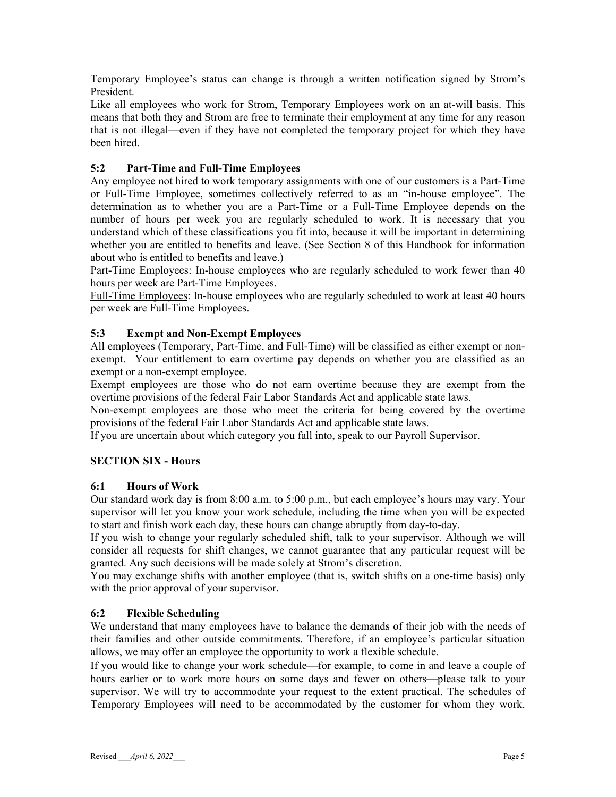Temporary Employee's status can change is through a written notification signed by Strom's President.

Like all employees who work for Strom, Temporary Employees work on an at-will basis. This means that both they and Strom are free to terminate their employment at any time for any reason that is not illegal—even if they have not completed the temporary project for which they have been hired.

## **5:2 Part-Time and Full-Time Employees**

Any employee not hired to work temporary assignments with one of our customers is a Part-Time or Full-Time Employee, sometimes collectively referred to as an "in-house employee". The determination as to whether you are a Part-Time or a Full-Time Employee depends on the number of hours per week you are regularly scheduled to work. It is necessary that you understand which of these classifications you fit into, because it will be important in determining whether you are entitled to benefits and leave. (See Section 8 of this Handbook for information about who is entitled to benefits and leave.)

Part-Time Employees: In-house employees who are regularly scheduled to work fewer than 40 hours per week are Part-Time Employees.

Full-Time Employees: In-house employees who are regularly scheduled to work at least 40 hours per week are Full-Time Employees.

#### **5:3 Exempt and Non-Exempt Employees**

All employees (Temporary, Part-Time, and Full-Time) will be classified as either exempt or nonexempt. Your entitlement to earn overtime pay depends on whether you are classified as an exempt or a non-exempt employee.

Exempt employees are those who do not earn overtime because they are exempt from the overtime provisions of the federal Fair Labor Standards Act and applicable state laws.

Non-exempt employees are those who meet the criteria for being covered by the overtime provisions of the federal Fair Labor Standards Act and applicable state laws.

If you are uncertain about which category you fall into, speak to our Payroll Supervisor.

#### **SECTION SIX - Hours**

#### **6:1 Hours of Work**

Our standard work day is from 8:00 a.m. to 5:00 p.m., but each employee's hours may vary. Your supervisor will let you know your work schedule, including the time when you will be expected to start and finish work each day, these hours can change abruptly from day-to-day.

If you wish to change your regularly scheduled shift, talk to your supervisor. Although we will consider all requests for shift changes, we cannot guarantee that any particular request will be granted. Any such decisions will be made solely at Strom's discretion.

You may exchange shifts with another employee (that is, switch shifts on a one-time basis) only with the prior approval of your supervisor.

#### **6:2 Flexible Scheduling**

We understand that many employees have to balance the demands of their job with the needs of their families and other outside commitments. Therefore, if an employee's particular situation allows, we may offer an employee the opportunity to work a flexible schedule.

If you would like to change your work schedule—for example, to come in and leave a couple of hours earlier or to work more hours on some days and fewer on others—please talk to your supervisor. We will try to accommodate your request to the extent practical. The schedules of Temporary Employees will need to be accommodated by the customer for whom they work.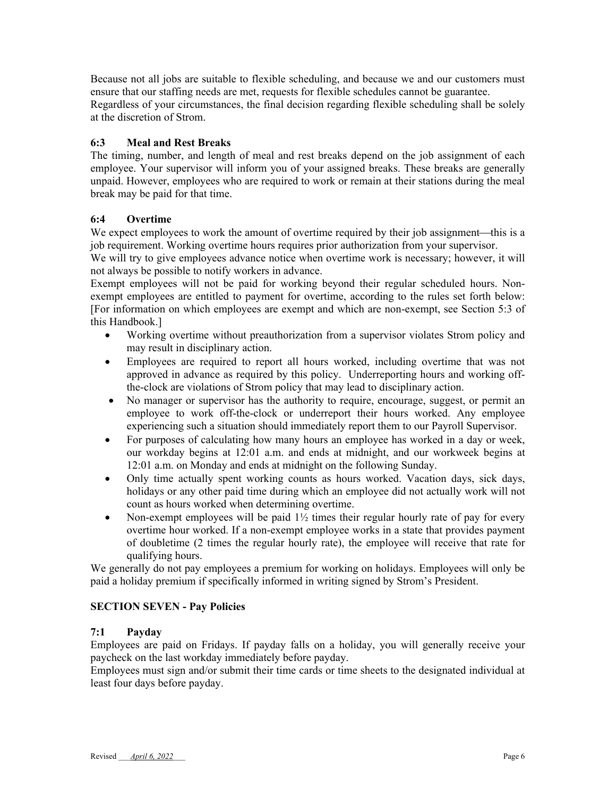Because not all jobs are suitable to flexible scheduling, and because we and our customers must ensure that our staffing needs are met, requests for flexible schedules cannot be guarantee. Regardless of your circumstances, the final decision regarding flexible scheduling shall be solely at the discretion of Strom.

## **6:3 Meal and Rest Breaks**

The timing, number, and length of meal and rest breaks depend on the job assignment of each employee. Your supervisor will inform you of your assigned breaks. These breaks are generally unpaid. However, employees who are required to work or remain at their stations during the meal break may be paid for that time.

## **6:4 Overtime**

We expect employees to work the amount of overtime required by their job assignment—this is a job requirement. Working overtime hours requires prior authorization from your supervisor.

We will try to give employees advance notice when overtime work is necessary; however, it will not always be possible to notify workers in advance.

Exempt employees will not be paid for working beyond their regular scheduled hours. Nonexempt employees are entitled to payment for overtime, according to the rules set forth below: [For information on which employees are exempt and which are non-exempt, see Section 5:3 of this Handbook.]

- Working overtime without preauthorization from a supervisor violates Strom policy and may result in disciplinary action.
- Employees are required to report all hours worked, including overtime that was not approved in advance as required by this policy. Underreporting hours and working offthe-clock are violations of Strom policy that may lead to disciplinary action.
- No manager or supervisor has the authority to require, encourage, suggest, or permit an employee to work off-the-clock or underreport their hours worked. Any employee experiencing such a situation should immediately report them to our Payroll Supervisor.
- For purposes of calculating how many hours an employee has worked in a day or week, our workday begins at 12:01 a.m. and ends at midnight, and our workweek begins at 12:01 a.m. on Monday and ends at midnight on the following Sunday.
- Only time actually spent working counts as hours worked. Vacation days, sick days, holidays or any other paid time during which an employee did not actually work will not count as hours worked when determining overtime.
- Non-exempt employees will be paid  $1\frac{1}{2}$  times their regular hourly rate of pay for every overtime hour worked. If a non-exempt employee works in a state that provides payment of doubletime (2 times the regular hourly rate), the employee will receive that rate for qualifying hours.

We generally do not pay employees a premium for working on holidays. Employees will only be paid a holiday premium if specifically informed in writing signed by Strom's President.

#### **SECTION SEVEN - Pay Policies**

#### **7:1 Payday**

Employees are paid on Fridays. If payday falls on a holiday, you will generally receive your paycheck on the last workday immediately before payday.

Employees must sign and/or submit their time cards or time sheets to the designated individual at least four days before payday.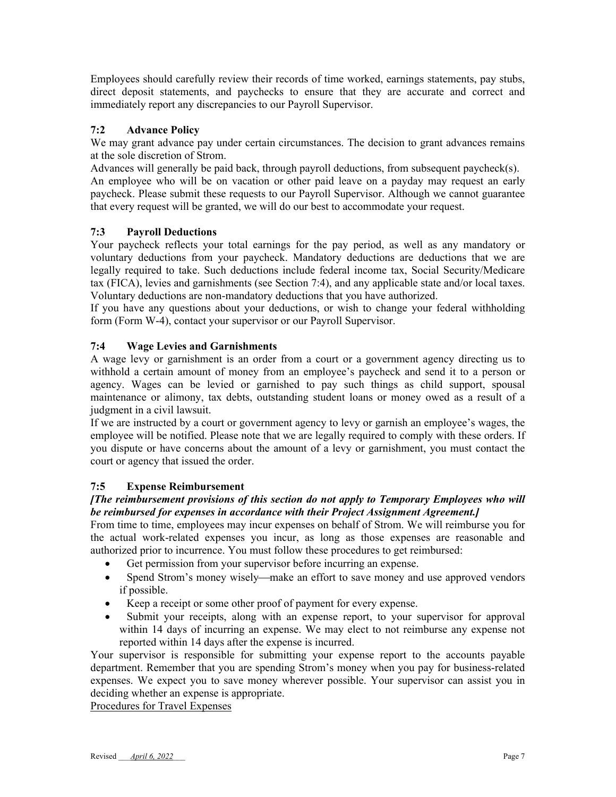Employees should carefully review their records of time worked, earnings statements, pay stubs, direct deposit statements, and paychecks to ensure that they are accurate and correct and immediately report any discrepancies to our Payroll Supervisor.

## **7:2 Advance Policy**

We may grant advance pay under certain circumstances. The decision to grant advances remains at the sole discretion of Strom.

Advances will generally be paid back, through payroll deductions, from subsequent paycheck(s). An employee who will be on vacation or other paid leave on a payday may request an early paycheck. Please submit these requests to our Payroll Supervisor. Although we cannot guarantee that every request will be granted, we will do our best to accommodate your request.

## **7:3 Payroll Deductions**

Your paycheck reflects your total earnings for the pay period, as well as any mandatory or voluntary deductions from your paycheck. Mandatory deductions are deductions that we are legally required to take. Such deductions include federal income tax, Social Security/Medicare tax (FICA), levies and garnishments (see Section 7:4), and any applicable state and/or local taxes. Voluntary deductions are non-mandatory deductions that you have authorized.

If you have any questions about your deductions, or wish to change your federal withholding form (Form W-4), contact your supervisor or our Payroll Supervisor.

## **7:4 Wage Levies and Garnishments**

A wage levy or garnishment is an order from a court or a government agency directing us to withhold a certain amount of money from an employee's paycheck and send it to a person or agency. Wages can be levied or garnished to pay such things as child support, spousal maintenance or alimony, tax debts, outstanding student loans or money owed as a result of a judgment in a civil lawsuit.

If we are instructed by a court or government agency to levy or garnish an employee's wages, the employee will be notified. Please note that we are legally required to comply with these orders. If you dispute or have concerns about the amount of a levy or garnishment, you must contact the court or agency that issued the order.

#### **7:5 Expense Reimbursement**

#### *[The reimbursement provisions of this section do not apply to Temporary Employees who will be reimbursed for expenses in accordance with their Project Assignment Agreement.]*

From time to time, employees may incur expenses on behalf of Strom. We will reimburse you for the actual work-related expenses you incur, as long as those expenses are reasonable and authorized prior to incurrence. You must follow these procedures to get reimbursed:

- Get permission from your supervisor before incurring an expense.
- Spend Strom's money wisely—make an effort to save money and use approved vendors if possible.
- Keep a receipt or some other proof of payment for every expense.
- Submit your receipts, along with an expense report, to your supervisor for approval within 14 days of incurring an expense. We may elect to not reimburse any expense not reported within 14 days after the expense is incurred.

Your supervisor is responsible for submitting your expense report to the accounts payable department. Remember that you are spending Strom's money when you pay for business-related expenses. We expect you to save money wherever possible. Your supervisor can assist you in deciding whether an expense is appropriate.

Procedures for Travel Expenses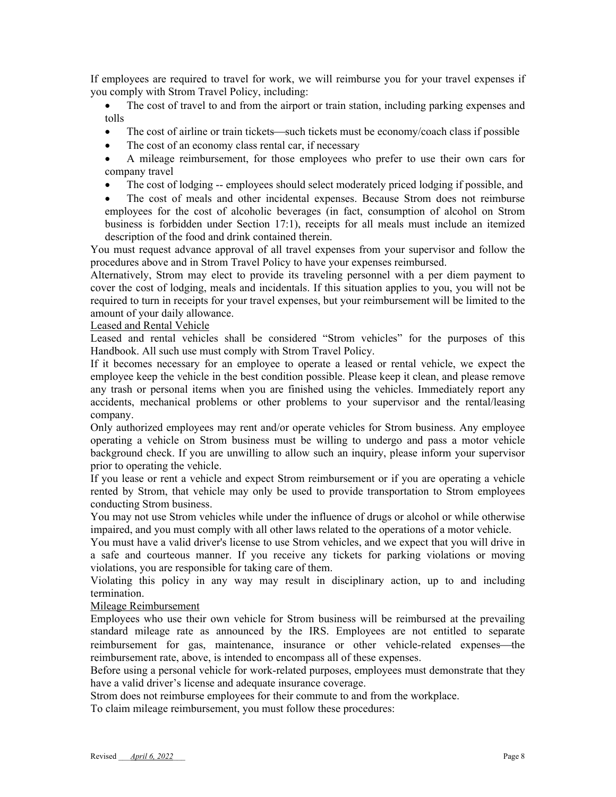If employees are required to travel for work, we will reimburse you for your travel expenses if you comply with Strom Travel Policy, including:

 The cost of travel to and from the airport or train station, including parking expenses and tolls

- $\bullet$  The cost of airline or train tickets—such tickets must be economy/coach class if possible
- The cost of an economy class rental car, if necessary
- A mileage reimbursement, for those employees who prefer to use their own cars for company travel
- The cost of lodging -- employees should select moderately priced lodging if possible, and
- The cost of meals and other incidental expenses. Because Strom does not reimburse employees for the cost of alcoholic beverages (in fact, consumption of alcohol on Strom business is forbidden under Section 17:1), receipts for all meals must include an itemized description of the food and drink contained therein.

You must request advance approval of all travel expenses from your supervisor and follow the procedures above and in Strom Travel Policy to have your expenses reimbursed.

Alternatively, Strom may elect to provide its traveling personnel with a per diem payment to cover the cost of lodging, meals and incidentals. If this situation applies to you, you will not be required to turn in receipts for your travel expenses, but your reimbursement will be limited to the amount of your daily allowance.

#### Leased and Rental Vehicle

Leased and rental vehicles shall be considered "Strom vehicles" for the purposes of this Handbook. All such use must comply with Strom Travel Policy.

If it becomes necessary for an employee to operate a leased or rental vehicle, we expect the employee keep the vehicle in the best condition possible. Please keep it clean, and please remove any trash or personal items when you are finished using the vehicles. Immediately report any accidents, mechanical problems or other problems to your supervisor and the rental/leasing company.

Only authorized employees may rent and/or operate vehicles for Strom business. Any employee operating a vehicle on Strom business must be willing to undergo and pass a motor vehicle background check. If you are unwilling to allow such an inquiry, please inform your supervisor prior to operating the vehicle.

If you lease or rent a vehicle and expect Strom reimbursement or if you are operating a vehicle rented by Strom, that vehicle may only be used to provide transportation to Strom employees conducting Strom business.

You may not use Strom vehicles while under the influence of drugs or alcohol or while otherwise impaired, and you must comply with all other laws related to the operations of a motor vehicle.

You must have a valid driver's license to use Strom vehicles, and we expect that you will drive in a safe and courteous manner. If you receive any tickets for parking violations or moving violations, you are responsible for taking care of them.

Violating this policy in any way may result in disciplinary action, up to and including termination.

#### Mileage Reimbursement

Employees who use their own vehicle for Strom business will be reimbursed at the prevailing standard mileage rate as announced by the IRS. Employees are not entitled to separate reimbursement for gas, maintenance, insurance or other vehicle-related expenses—the reimbursement rate, above, is intended to encompass all of these expenses.

Before using a personal vehicle for work-related purposes, employees must demonstrate that they have a valid driver's license and adequate insurance coverage.

Strom does not reimburse employees for their commute to and from the workplace.

To claim mileage reimbursement, you must follow these procedures: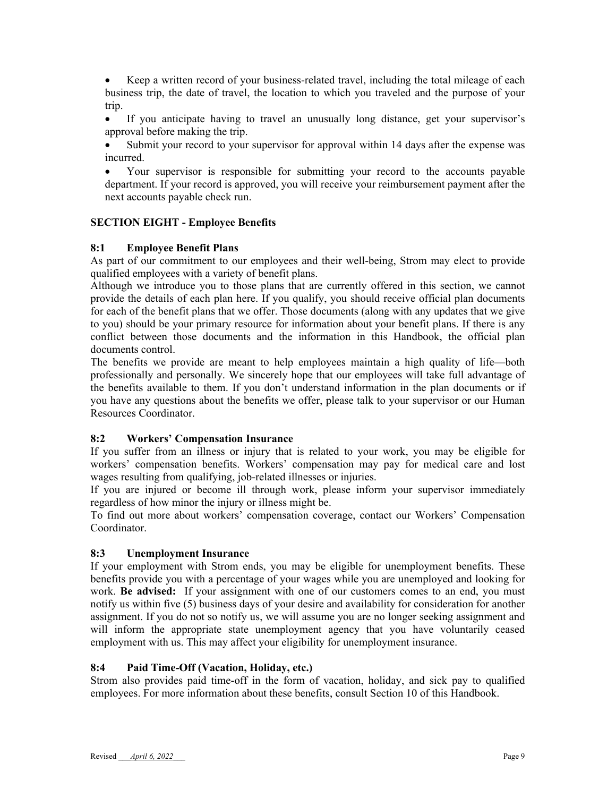Keep a written record of your business-related travel, including the total mileage of each business trip, the date of travel, the location to which you traveled and the purpose of your trip.

 If you anticipate having to travel an unusually long distance, get your supervisor's approval before making the trip.

 Submit your record to your supervisor for approval within 14 days after the expense was incurred.

 Your supervisor is responsible for submitting your record to the accounts payable department. If your record is approved, you will receive your reimbursement payment after the next accounts payable check run.

#### **SECTION EIGHT - Employee Benefits**

#### **8:1 Employee Benefit Plans**

As part of our commitment to our employees and their well-being, Strom may elect to provide qualified employees with a variety of benefit plans.

Although we introduce you to those plans that are currently offered in this section, we cannot provide the details of each plan here. If you qualify, you should receive official plan documents for each of the benefit plans that we offer. Those documents (along with any updates that we give to you) should be your primary resource for information about your benefit plans. If there is any conflict between those documents and the information in this Handbook, the official plan documents control.

The benefits we provide are meant to help employees maintain a high quality of life—both professionally and personally. We sincerely hope that our employees will take full advantage of the benefits available to them. If you don't understand information in the plan documents or if you have any questions about the benefits we offer, please talk to your supervisor or our Human Resources Coordinator.

#### **8:2 Workers' Compensation Insurance**

If you suffer from an illness or injury that is related to your work, you may be eligible for workers' compensation benefits. Workers' compensation may pay for medical care and lost wages resulting from qualifying, job-related illnesses or injuries.

If you are injured or become ill through work, please inform your supervisor immediately regardless of how minor the injury or illness might be.

To find out more about workers' compensation coverage, contact our Workers' Compensation Coordinator.

#### **8:3 Unemployment Insurance**

If your employment with Strom ends, you may be eligible for unemployment benefits. These benefits provide you with a percentage of your wages while you are unemployed and looking for work. **Be advised:** If your assignment with one of our customers comes to an end, you must notify us within five (5) business days of your desire and availability for consideration for another assignment. If you do not so notify us, we will assume you are no longer seeking assignment and will inform the appropriate state unemployment agency that you have voluntarily ceased employment with us. This may affect your eligibility for unemployment insurance.

#### **8:4 Paid Time-Off (Vacation, Holiday, etc.)**

Strom also provides paid time-off in the form of vacation, holiday, and sick pay to qualified employees. For more information about these benefits, consult Section 10 of this Handbook.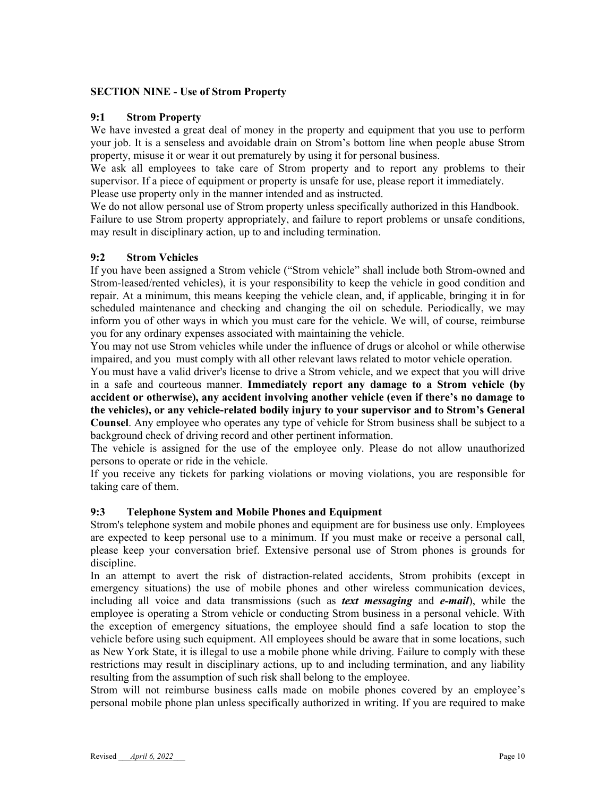#### **SECTION NINE - Use of Strom Property**

#### **9:1 Strom Property**

We have invested a great deal of money in the property and equipment that you use to perform your job. It is a senseless and avoidable drain on Strom's bottom line when people abuse Strom property, misuse it or wear it out prematurely by using it for personal business.

We ask all employees to take care of Strom property and to report any problems to their supervisor. If a piece of equipment or property is unsafe for use, please report it immediately. Please use property only in the manner intended and as instructed.

We do not allow personal use of Strom property unless specifically authorized in this Handbook. Failure to use Strom property appropriately, and failure to report problems or unsafe conditions, may result in disciplinary action, up to and including termination.

#### **9:2 Strom Vehicles**

If you have been assigned a Strom vehicle ("Strom vehicle" shall include both Strom-owned and Strom-leased/rented vehicles), it is your responsibility to keep the vehicle in good condition and repair. At a minimum, this means keeping the vehicle clean, and, if applicable, bringing it in for scheduled maintenance and checking and changing the oil on schedule. Periodically, we may inform you of other ways in which you must care for the vehicle. We will, of course, reimburse you for any ordinary expenses associated with maintaining the vehicle.

You may not use Strom vehicles while under the influence of drugs or alcohol or while otherwise impaired, and you must comply with all other relevant laws related to motor vehicle operation.

You must have a valid driver's license to drive a Strom vehicle, and we expect that you will drive in a safe and courteous manner. **Immediately report any damage to a Strom vehicle (by accident or otherwise), any accident involving another vehicle (even if there's no damage to the vehicles), or any vehicle-related bodily injury to your supervisor and to Strom's General Counsel**. Any employee who operates any type of vehicle for Strom business shall be subject to a background check of driving record and other pertinent information.

The vehicle is assigned for the use of the employee only. Please do not allow unauthorized persons to operate or ride in the vehicle.

If you receive any tickets for parking violations or moving violations, you are responsible for taking care of them.

#### **9:3 Telephone System and Mobile Phones and Equipment**

Strom's telephone system and mobile phones and equipment are for business use only. Employees are expected to keep personal use to a minimum. If you must make or receive a personal call, please keep your conversation brief. Extensive personal use of Strom phones is grounds for discipline.

In an attempt to avert the risk of distraction-related accidents, Strom prohibits (except in emergency situations) the use of mobile phones and other wireless communication devices, including all voice and data transmissions (such as *text messaging* and *e-mail*), while the employee is operating a Strom vehicle or conducting Strom business in a personal vehicle. With the exception of emergency situations, the employee should find a safe location to stop the vehicle before using such equipment. All employees should be aware that in some locations, such as New York State, it is illegal to use a mobile phone while driving. Failure to comply with these restrictions may result in disciplinary actions, up to and including termination, and any liability resulting from the assumption of such risk shall belong to the employee.

Strom will not reimburse business calls made on mobile phones covered by an employee's personal mobile phone plan unless specifically authorized in writing. If you are required to make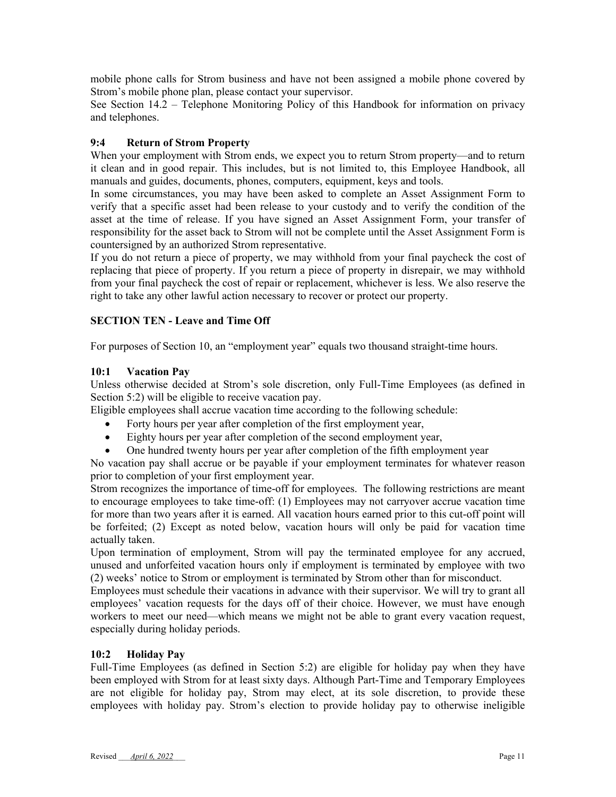mobile phone calls for Strom business and have not been assigned a mobile phone covered by Strom's mobile phone plan, please contact your supervisor.

See Section 14.2 – Telephone Monitoring Policy of this Handbook for information on privacy and telephones.

#### **9:4 Return of Strom Property**

When your employment with Strom ends, we expect you to return Strom property—and to return it clean and in good repair. This includes, but is not limited to, this Employee Handbook, all manuals and guides, documents, phones, computers, equipment, keys and tools.

In some circumstances, you may have been asked to complete an Asset Assignment Form to verify that a specific asset had been release to your custody and to verify the condition of the asset at the time of release. If you have signed an Asset Assignment Form, your transfer of responsibility for the asset back to Strom will not be complete until the Asset Assignment Form is countersigned by an authorized Strom representative.

If you do not return a piece of property, we may withhold from your final paycheck the cost of replacing that piece of property. If you return a piece of property in disrepair, we may withhold from your final paycheck the cost of repair or replacement, whichever is less. We also reserve the right to take any other lawful action necessary to recover or protect our property.

## **SECTION TEN - Leave and Time Off**

For purposes of Section 10, an "employment year" equals two thousand straight-time hours.

#### **10:1 Vacation Pay**

Unless otherwise decided at Strom's sole discretion, only Full-Time Employees (as defined in Section 5:2) will be eligible to receive vacation pay.

Eligible employees shall accrue vacation time according to the following schedule:

- Forty hours per year after completion of the first employment year,
- Eighty hours per year after completion of the second employment year,
- One hundred twenty hours per year after completion of the fifth employment year

No vacation pay shall accrue or be payable if your employment terminates for whatever reason prior to completion of your first employment year.

Strom recognizes the importance of time-off for employees. The following restrictions are meant to encourage employees to take time-off: (1) Employees may not carryover accrue vacation time for more than two years after it is earned. All vacation hours earned prior to this cut-off point will be forfeited; (2) Except as noted below, vacation hours will only be paid for vacation time actually taken.

Upon termination of employment, Strom will pay the terminated employee for any accrued, unused and unforfeited vacation hours only if employment is terminated by employee with two (2) weeks' notice to Strom or employment is terminated by Strom other than for misconduct.

Employees must schedule their vacations in advance with their supervisor. We will try to grant all employees' vacation requests for the days off of their choice. However, we must have enough workers to meet our need—which means we might not be able to grant every vacation request, especially during holiday periods.

#### **10:2 Holiday Pay**

Full-Time Employees (as defined in Section 5:2) are eligible for holiday pay when they have been employed with Strom for at least sixty days. Although Part-Time and Temporary Employees are not eligible for holiday pay, Strom may elect, at its sole discretion, to provide these employees with holiday pay. Strom's election to provide holiday pay to otherwise ineligible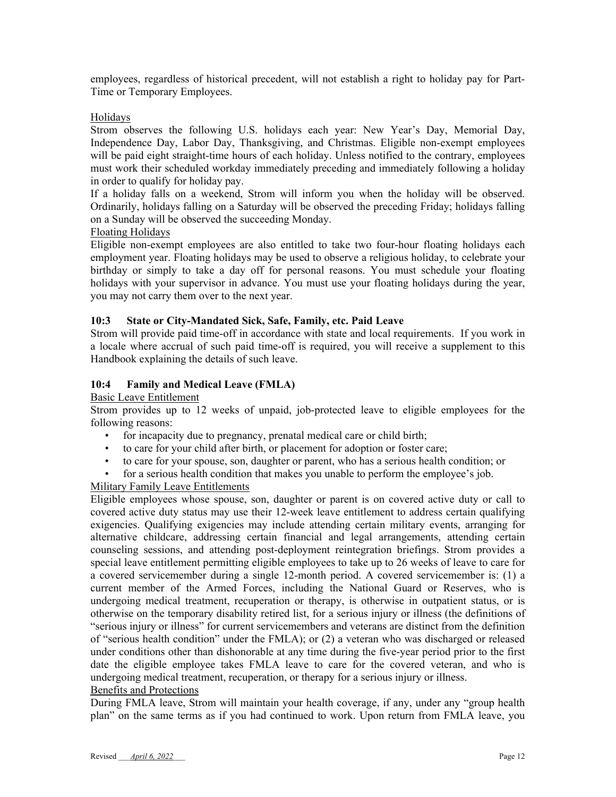employees, regardless of historical precedent, will not establish a right to holiday pay for Part-Time or Temporary Employees.

#### Holidays

Strom observes the following U.S. holidays each year: New Year's Day, Memorial Day, Independence Day, Labor Day, Thanksgiving, and Christmas. Eligible non-exempt employees will be paid eight straight-time hours of each holiday. Unless notified to the contrary, employees must work their scheduled workday immediately preceding and immediately following a holiday in order to qualify for holiday pay.

If a holiday falls on a weekend, Strom will inform you when the holiday will be observed. Ordinarily, holidays falling on a Saturday will be observed the preceding Friday; holidays falling on a Sunday will be observed the succeeding Monday.

#### Floating Holidays

Eligible non-exempt employees are also entitled to take two four-hour floating holidays each employment year. Floating holidays may be used to observe a religious holiday, to celebrate your birthday or simply to take a day off for personal reasons. You must schedule your floating holidays with your supervisor in advance. You must use your floating holidays during the year, you may not carry them over to the next year.

#### **10:3 State or City-Mandated Sick, Safe, Family, etc. Paid Leave**

Strom will provide paid time-off in accordance with state and local requirements. If you work in a locale where accrual of such paid time-off is required, you will receive a supplement to this Handbook explaining the details of such leave.

#### **10:4 Family and Medical Leave (FMLA)**

#### Basic Leave Entitlement

Strom provides up to 12 weeks of unpaid, job-protected leave to eligible employees for the following reasons:

- for incapacity due to pregnancy, prenatal medical care or child birth;
- to care for your child after birth, or placement for adoption or foster care;
- to care for your spouse, son, daughter or parent, who has a serious health condition; or
- for a serious health condition that makes you unable to perform the employee's job.

#### Military Family Leave Entitlements

Eligible employees whose spouse, son, daughter or parent is on covered active duty or call to covered active duty status may use their 12-week leave entitlement to address certain qualifying exigencies. Qualifying exigencies may include attending certain military events, arranging for alternative childcare, addressing certain financial and legal arrangements, attending certain counseling sessions, and attending post-deployment reintegration briefings. Strom provides a special leave entitlement permitting eligible employees to take up to 26 weeks of leave to care for a covered servicemember during a single 12-month period. A covered servicemember is: (1) a current member of the Armed Forces, including the National Guard or Reserves, who is undergoing medical treatment, recuperation or therapy, is otherwise in outpatient status, or is otherwise on the temporary disability retired list, for a serious injury or illness (the definitions of "serious injury or illness" for current servicemembers and veterans are distinct from the definition of "serious health condition" under the FMLA); or (2) a veteran who was discharged or released under conditions other than dishonorable at any time during the five-year period prior to the first date the eligible employee takes FMLA leave to care for the covered veteran, and who is undergoing medical treatment, recuperation, or therapy for a serious injury or illness. Benefits and Protections

During FMLA leave, Strom will maintain your health coverage, if any, under any "group health plan" on the same terms as if you had continued to work. Upon return from FMLA leave, you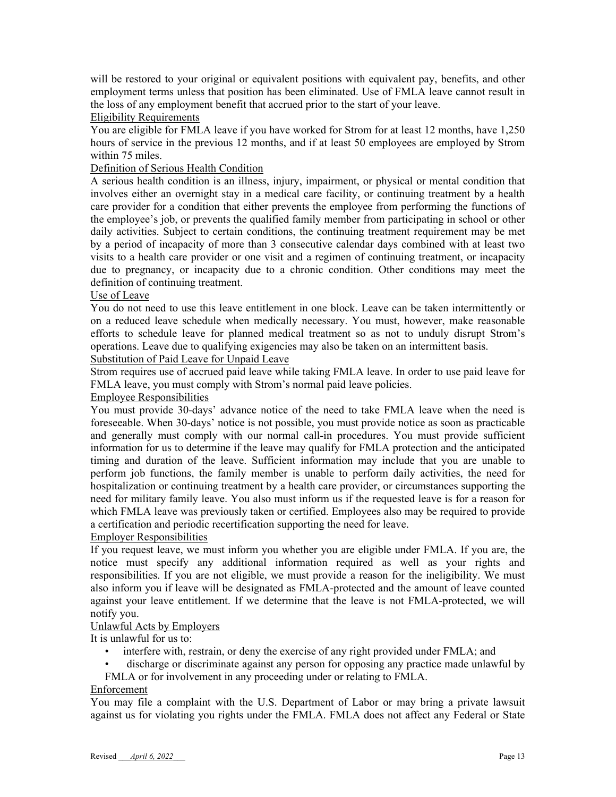will be restored to your original or equivalent positions with equivalent pay, benefits, and other employment terms unless that position has been eliminated. Use of FMLA leave cannot result in the loss of any employment benefit that accrued prior to the start of your leave.

#### Eligibility Requirements

You are eligible for FMLA leave if you have worked for Strom for at least 12 months, have 1,250 hours of service in the previous 12 months, and if at least 50 employees are employed by Strom within 75 miles.

#### Definition of Serious Health Condition

A serious health condition is an illness, injury, impairment, or physical or mental condition that involves either an overnight stay in a medical care facility, or continuing treatment by a health care provider for a condition that either prevents the employee from performing the functions of the employee's job, or prevents the qualified family member from participating in school or other daily activities. Subject to certain conditions, the continuing treatment requirement may be met by a period of incapacity of more than 3 consecutive calendar days combined with at least two visits to a health care provider or one visit and a regimen of continuing treatment, or incapacity due to pregnancy, or incapacity due to a chronic condition. Other conditions may meet the definition of continuing treatment.

#### Use of Leave

You do not need to use this leave entitlement in one block. Leave can be taken intermittently or on a reduced leave schedule when medically necessary. You must, however, make reasonable efforts to schedule leave for planned medical treatment so as not to unduly disrupt Strom's operations. Leave due to qualifying exigencies may also be taken on an intermittent basis. Substitution of Paid Leave for Unpaid Leave

Strom requires use of accrued paid leave while taking FMLA leave. In order to use paid leave for FMLA leave, you must comply with Strom's normal paid leave policies.

#### Employee Responsibilities

You must provide 30-days' advance notice of the need to take FMLA leave when the need is foreseeable. When 30-days' notice is not possible, you must provide notice as soon as practicable and generally must comply with our normal call-in procedures. You must provide sufficient information for us to determine if the leave may qualify for FMLA protection and the anticipated timing and duration of the leave. Sufficient information may include that you are unable to perform job functions, the family member is unable to perform daily activities, the need for hospitalization or continuing treatment by a health care provider, or circumstances supporting the need for military family leave. You also must inform us if the requested leave is for a reason for which FMLA leave was previously taken or certified. Employees also may be required to provide a certification and periodic recertification supporting the need for leave.

#### Employer Responsibilities

If you request leave, we must inform you whether you are eligible under FMLA. If you are, the notice must specify any additional information required as well as your rights and responsibilities. If you are not eligible, we must provide a reason for the ineligibility. We must also inform you if leave will be designated as FMLA-protected and the amount of leave counted against your leave entitlement. If we determine that the leave is not FMLA-protected, we will notify you.

#### Unlawful Acts by Employers

It is unlawful for us to:

- interfere with, restrain, or deny the exercise of any right provided under FMLA; and
- discharge or discriminate against any person for opposing any practice made unlawful by
- FMLA or for involvement in any proceeding under or relating to FMLA.

#### Enforcement

You may file a complaint with the U.S. Department of Labor or may bring a private lawsuit against us for violating you rights under the FMLA. FMLA does not affect any Federal or State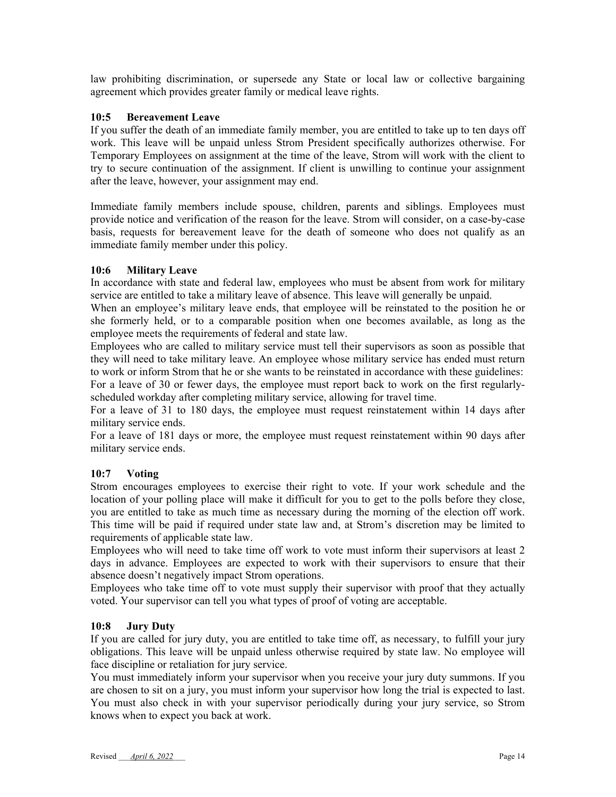law prohibiting discrimination, or supersede any State or local law or collective bargaining agreement which provides greater family or medical leave rights.

#### **10:5 Bereavement Leave**

If you suffer the death of an immediate family member, you are entitled to take up to ten days off work. This leave will be unpaid unless Strom President specifically authorizes otherwise. For Temporary Employees on assignment at the time of the leave, Strom will work with the client to try to secure continuation of the assignment. If client is unwilling to continue your assignment after the leave, however, your assignment may end.

Immediate family members include spouse, children, parents and siblings. Employees must provide notice and verification of the reason for the leave. Strom will consider, on a case-by-case basis, requests for bereavement leave for the death of someone who does not qualify as an immediate family member under this policy.

#### **10:6 Military Leave**

In accordance with state and federal law, employees who must be absent from work for military service are entitled to take a military leave of absence. This leave will generally be unpaid.

When an employee's military leave ends, that employee will be reinstated to the position he or she formerly held, or to a comparable position when one becomes available, as long as the employee meets the requirements of federal and state law.

Employees who are called to military service must tell their supervisors as soon as possible that they will need to take military leave. An employee whose military service has ended must return to work or inform Strom that he or she wants to be reinstated in accordance with these guidelines: For a leave of 30 or fewer days, the employee must report back to work on the first regularlyscheduled workday after completing military service, allowing for travel time.

For a leave of 31 to 180 days, the employee must request reinstatement within 14 days after military service ends.

For a leave of 181 days or more, the employee must request reinstatement within 90 days after military service ends.

#### **10:7 Voting**

Strom encourages employees to exercise their right to vote. If your work schedule and the location of your polling place will make it difficult for you to get to the polls before they close, you are entitled to take as much time as necessary during the morning of the election off work. This time will be paid if required under state law and, at Strom's discretion may be limited to requirements of applicable state law.

Employees who will need to take time off work to vote must inform their supervisors at least 2 days in advance. Employees are expected to work with their supervisors to ensure that their absence doesn't negatively impact Strom operations.

Employees who take time off to vote must supply their supervisor with proof that they actually voted. Your supervisor can tell you what types of proof of voting are acceptable.

#### **10:8 Jury Duty**

If you are called for jury duty, you are entitled to take time off, as necessary, to fulfill your jury obligations. This leave will be unpaid unless otherwise required by state law. No employee will face discipline or retaliation for jury service.

You must immediately inform your supervisor when you receive your jury duty summons. If you are chosen to sit on a jury, you must inform your supervisor how long the trial is expected to last. You must also check in with your supervisor periodically during your jury service, so Strom knows when to expect you back at work.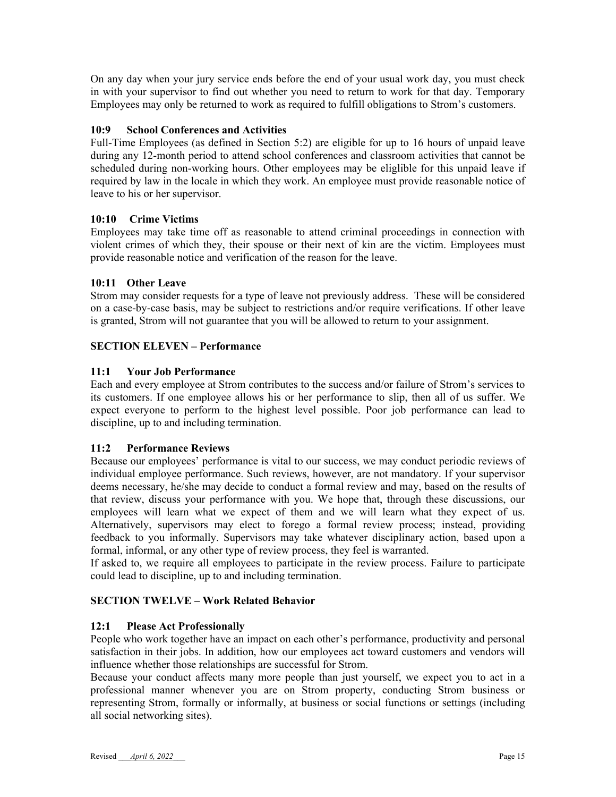On any day when your jury service ends before the end of your usual work day, you must check in with your supervisor to find out whether you need to return to work for that day. Temporary Employees may only be returned to work as required to fulfill obligations to Strom's customers.

## **10:9 School Conferences and Activities**

Full-Time Employees (as defined in Section 5:2) are eligible for up to 16 hours of unpaid leave during any 12-month period to attend school conferences and classroom activities that cannot be scheduled during non-working hours. Other employees may be eliglible for this unpaid leave if required by law in the locale in which they work. An employee must provide reasonable notice of leave to his or her supervisor.

## **10:10 Crime Victims**

Employees may take time off as reasonable to attend criminal proceedings in connection with violent crimes of which they, their spouse or their next of kin are the victim. Employees must provide reasonable notice and verification of the reason for the leave.

#### **10:11 Other Leave**

Strom may consider requests for a type of leave not previously address. These will be considered on a case-by-case basis, may be subject to restrictions and/or require verifications. If other leave is granted, Strom will not guarantee that you will be allowed to return to your assignment.

## **SECTION ELEVEN – Performance**

#### **11:1 Your Job Performance**

Each and every employee at Strom contributes to the success and/or failure of Strom's services to its customers. If one employee allows his or her performance to slip, then all of us suffer. We expect everyone to perform to the highest level possible. Poor job performance can lead to discipline, up to and including termination.

#### **11:2 Performance Reviews**

Because our employees' performance is vital to our success, we may conduct periodic reviews of individual employee performance. Such reviews, however, are not mandatory. If your supervisor deems necessary, he/she may decide to conduct a formal review and may, based on the results of that review, discuss your performance with you. We hope that, through these discussions, our employees will learn what we expect of them and we will learn what they expect of us. Alternatively, supervisors may elect to forego a formal review process; instead, providing feedback to you informally. Supervisors may take whatever disciplinary action, based upon a formal, informal, or any other type of review process, they feel is warranted.

If asked to, we require all employees to participate in the review process. Failure to participate could lead to discipline, up to and including termination.

#### **SECTION TWELVE – Work Related Behavior**

#### **12:1 Please Act Professionally**

People who work together have an impact on each other's performance, productivity and personal satisfaction in their jobs. In addition, how our employees act toward customers and vendors will influence whether those relationships are successful for Strom.

Because your conduct affects many more people than just yourself, we expect you to act in a professional manner whenever you are on Strom property, conducting Strom business or representing Strom, formally or informally, at business or social functions or settings (including all social networking sites).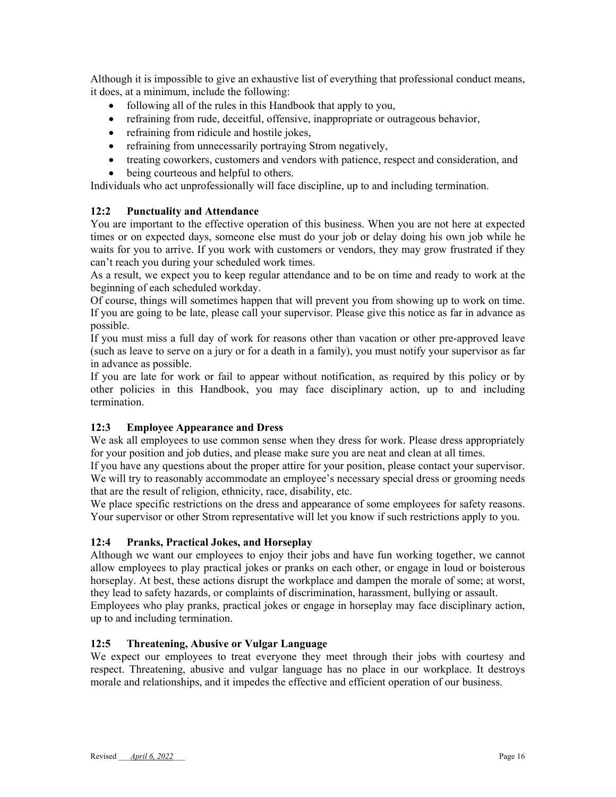Although it is impossible to give an exhaustive list of everything that professional conduct means, it does, at a minimum, include the following:

- following all of the rules in this Handbook that apply to you,
- refraining from rude, deceitful, offensive, inappropriate or outrageous behavior,
- refraining from ridicule and hostile jokes,
- refraining from unnecessarily portraying Strom negatively,
- treating coworkers, customers and vendors with patience, respect and consideration, and
- being courteous and helpful to others.

Individuals who act unprofessionally will face discipline, up to and including termination.

#### **12:2 Punctuality and Attendance**

You are important to the effective operation of this business. When you are not here at expected times or on expected days, someone else must do your job or delay doing his own job while he waits for you to arrive. If you work with customers or vendors, they may grow frustrated if they can't reach you during your scheduled work times.

As a result, we expect you to keep regular attendance and to be on time and ready to work at the beginning of each scheduled workday.

Of course, things will sometimes happen that will prevent you from showing up to work on time. If you are going to be late, please call your supervisor. Please give this notice as far in advance as possible.

If you must miss a full day of work for reasons other than vacation or other pre-approved leave (such as leave to serve on a jury or for a death in a family), you must notify your supervisor as far in advance as possible.

If you are late for work or fail to appear without notification, as required by this policy or by other policies in this Handbook, you may face disciplinary action, up to and including termination.

#### **12:3 Employee Appearance and Dress**

We ask all employees to use common sense when they dress for work. Please dress appropriately for your position and job duties, and please make sure you are neat and clean at all times.

If you have any questions about the proper attire for your position, please contact your supervisor. We will try to reasonably accommodate an employee's necessary special dress or grooming needs that are the result of religion, ethnicity, race, disability, etc.

We place specific restrictions on the dress and appearance of some employees for safety reasons. Your supervisor or other Strom representative will let you know if such restrictions apply to you.

#### **12:4 Pranks, Practical Jokes, and Horseplay**

Although we want our employees to enjoy their jobs and have fun working together, we cannot allow employees to play practical jokes or pranks on each other, or engage in loud or boisterous horseplay. At best, these actions disrupt the workplace and dampen the morale of some; at worst, they lead to safety hazards, or complaints of discrimination, harassment, bullying or assault. Employees who play pranks, practical jokes or engage in horseplay may face disciplinary action, up to and including termination.

#### **12:5 Threatening, Abusive or Vulgar Language**

We expect our employees to treat everyone they meet through their jobs with courtesy and respect. Threatening, abusive and vulgar language has no place in our workplace. It destroys morale and relationships, and it impedes the effective and efficient operation of our business.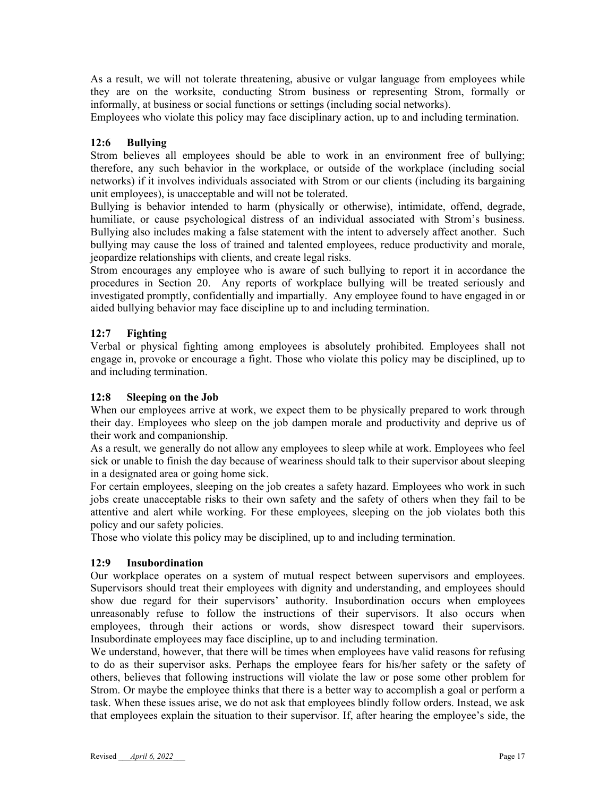As a result, we will not tolerate threatening, abusive or vulgar language from employees while they are on the worksite, conducting Strom business or representing Strom, formally or informally, at business or social functions or settings (including social networks).

Employees who violate this policy may face disciplinary action, up to and including termination.

#### **12:6 Bullying**

Strom believes all employees should be able to work in an environment free of bullying; therefore, any such behavior in the workplace, or outside of the workplace (including social networks) if it involves individuals associated with Strom or our clients (including its bargaining unit employees), is unacceptable and will not be tolerated.

Bullying is behavior intended to harm (physically or otherwise), intimidate, offend, degrade, humiliate, or cause psychological distress of an individual associated with Strom's business. Bullying also includes making a false statement with the intent to adversely affect another. Such bullying may cause the loss of trained and talented employees, reduce productivity and morale, jeopardize relationships with clients, and create legal risks.

Strom encourages any employee who is aware of such bullying to report it in accordance the procedures in Section 20. Any reports of workplace bullying will be treated seriously and investigated promptly, confidentially and impartially. Any employee found to have engaged in or aided bullying behavior may face discipline up to and including termination.

#### **12:7 Fighting**

Verbal or physical fighting among employees is absolutely prohibited. Employees shall not engage in, provoke or encourage a fight. Those who violate this policy may be disciplined, up to and including termination.

#### **12:8 Sleeping on the Job**

When our employees arrive at work, we expect them to be physically prepared to work through their day. Employees who sleep on the job dampen morale and productivity and deprive us of their work and companionship.

As a result, we generally do not allow any employees to sleep while at work. Employees who feel sick or unable to finish the day because of weariness should talk to their supervisor about sleeping in a designated area or going home sick.

For certain employees, sleeping on the job creates a safety hazard. Employees who work in such jobs create unacceptable risks to their own safety and the safety of others when they fail to be attentive and alert while working. For these employees, sleeping on the job violates both this policy and our safety policies.

Those who violate this policy may be disciplined, up to and including termination.

#### **12:9 Insubordination**

Our workplace operates on a system of mutual respect between supervisors and employees. Supervisors should treat their employees with dignity and understanding, and employees should show due regard for their supervisors' authority. Insubordination occurs when employees unreasonably refuse to follow the instructions of their supervisors. It also occurs when employees, through their actions or words, show disrespect toward their supervisors. Insubordinate employees may face discipline, up to and including termination.

We understand, however, that there will be times when employees have valid reasons for refusing to do as their supervisor asks. Perhaps the employee fears for his/her safety or the safety of others, believes that following instructions will violate the law or pose some other problem for Strom. Or maybe the employee thinks that there is a better way to accomplish a goal or perform a task. When these issues arise, we do not ask that employees blindly follow orders. Instead, we ask that employees explain the situation to their supervisor. If, after hearing the employee's side, the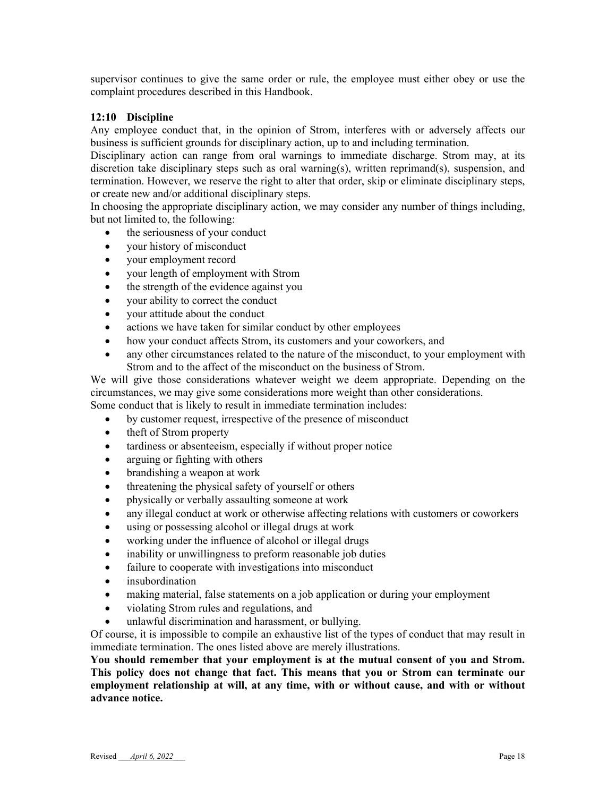supervisor continues to give the same order or rule, the employee must either obey or use the complaint procedures described in this Handbook.

#### **12:10 Discipline**

Any employee conduct that, in the opinion of Strom, interferes with or adversely affects our business is sufficient grounds for disciplinary action, up to and including termination.

Disciplinary action can range from oral warnings to immediate discharge. Strom may, at its discretion take disciplinary steps such as oral warning(s), written reprimand(s), suspension, and termination. However, we reserve the right to alter that order, skip or eliminate disciplinary steps, or create new and/or additional disciplinary steps.

In choosing the appropriate disciplinary action, we may consider any number of things including, but not limited to, the following:

- the seriousness of your conduct
- your history of misconduct
- your employment record
- your length of employment with Strom
- the strength of the evidence against you
- your ability to correct the conduct
- your attitude about the conduct
- actions we have taken for similar conduct by other employees
- how your conduct affects Strom, its customers and your coworkers, and
- any other circumstances related to the nature of the misconduct, to your employment with Strom and to the affect of the misconduct on the business of Strom.

We will give those considerations whatever weight we deem appropriate. Depending on the circumstances, we may give some considerations more weight than other considerations.

Some conduct that is likely to result in immediate termination includes:

- by customer request, irrespective of the presence of misconduct
- theft of Strom property
- tardiness or absenteeism, especially if without proper notice
- arguing or fighting with others
- brandishing a weapon at work
- threatening the physical safety of yourself or others
- physically or verbally assaulting someone at work
- any illegal conduct at work or otherwise affecting relations with customers or coworkers
- using or possessing alcohol or illegal drugs at work
- working under the influence of alcohol or illegal drugs
- inability or unwillingness to preform reasonable job duties
- failure to cooperate with investigations into misconduct
- insubordination
- making material, false statements on a job application or during your employment
- violating Strom rules and regulations, and
- unlawful discrimination and harassment, or bullying.

Of course, it is impossible to compile an exhaustive list of the types of conduct that may result in immediate termination. The ones listed above are merely illustrations.

**You should remember that your employment is at the mutual consent of you and Strom. This policy does not change that fact. This means that you or Strom can terminate our employment relationship at will, at any time, with or without cause, and with or without advance notice.**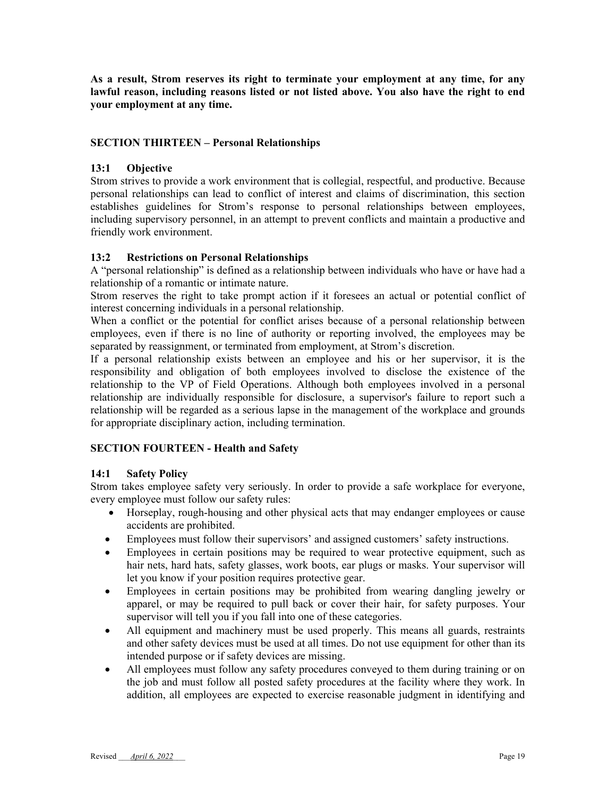**As a result, Strom reserves its right to terminate your employment at any time, for any lawful reason, including reasons listed or not listed above. You also have the right to end your employment at any time.** 

#### **SECTION THIRTEEN – Personal Relationships**

#### **13:1 Objective**

Strom strives to provide a work environment that is collegial, respectful, and productive. Because personal relationships can lead to conflict of interest and claims of discrimination, this section establishes guidelines for Strom's response to personal relationships between employees, including supervisory personnel, in an attempt to prevent conflicts and maintain a productive and friendly work environment.

#### **13:2 Restrictions on Personal Relationships**

A "personal relationship" is defined as a relationship between individuals who have or have had a relationship of a romantic or intimate nature.

Strom reserves the right to take prompt action if it foresees an actual or potential conflict of interest concerning individuals in a personal relationship.

When a conflict or the potential for conflict arises because of a personal relationship between employees, even if there is no line of authority or reporting involved, the employees may be separated by reassignment, or terminated from employment, at Strom's discretion.

If a personal relationship exists between an employee and his or her supervisor, it is the responsibility and obligation of both employees involved to disclose the existence of the relationship to the VP of Field Operations. Although both employees involved in a personal relationship are individually responsible for disclosure, a supervisor's failure to report such a relationship will be regarded as a serious lapse in the management of the workplace and grounds for appropriate disciplinary action, including termination.

#### **SECTION FOURTEEN - Health and Safety**

#### **14:1 Safety Policy**

Strom takes employee safety very seriously. In order to provide a safe workplace for everyone, every employee must follow our safety rules:

- Horseplay, rough-housing and other physical acts that may endanger employees or cause accidents are prohibited.
- Employees must follow their supervisors' and assigned customers' safety instructions.
- Employees in certain positions may be required to wear protective equipment, such as hair nets, hard hats, safety glasses, work boots, ear plugs or masks. Your supervisor will let you know if your position requires protective gear.
- Employees in certain positions may be prohibited from wearing dangling jewelry or apparel, or may be required to pull back or cover their hair, for safety purposes. Your supervisor will tell you if you fall into one of these categories.
- All equipment and machinery must be used properly. This means all guards, restraints and other safety devices must be used at all times. Do not use equipment for other than its intended purpose or if safety devices are missing.
- All employees must follow any safety procedures conveyed to them during training or on the job and must follow all posted safety procedures at the facility where they work. In addition, all employees are expected to exercise reasonable judgment in identifying and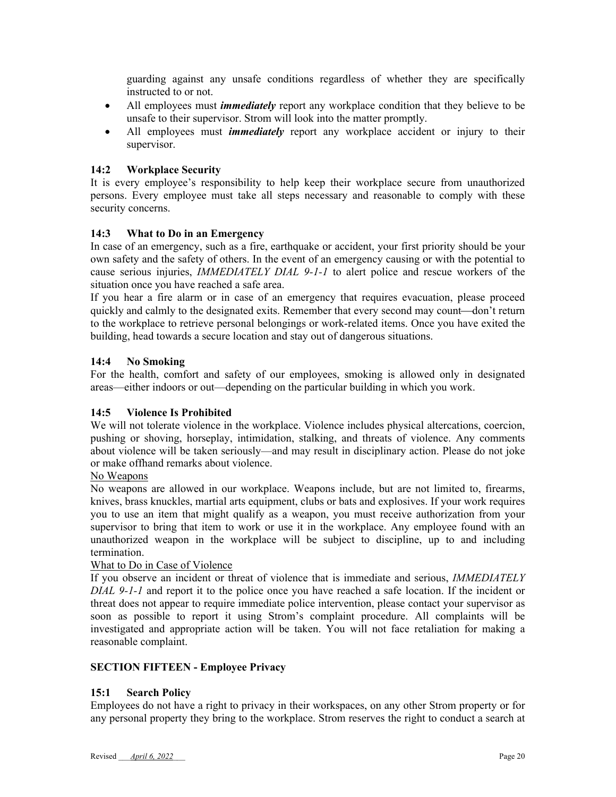guarding against any unsafe conditions regardless of whether they are specifically instructed to or not.

- All employees must *immediately* report any workplace condition that they believe to be unsafe to their supervisor. Strom will look into the matter promptly.
- All employees must *immediately* report any workplace accident or injury to their supervisor.

#### **14:2 Workplace Security**

It is every employee's responsibility to help keep their workplace secure from unauthorized persons. Every employee must take all steps necessary and reasonable to comply with these security concerns.

#### **14:3 What to Do in an Emergency**

In case of an emergency, such as a fire, earthquake or accident, your first priority should be your own safety and the safety of others. In the event of an emergency causing or with the potential to cause serious injuries, *IMMEDIATELY DIAL 9-1-1* to alert police and rescue workers of the situation once you have reached a safe area.

If you hear a fire alarm or in case of an emergency that requires evacuation, please proceed quickly and calmly to the designated exits. Remember that every second may count—don't return to the workplace to retrieve personal belongings or work-related items. Once you have exited the building, head towards a secure location and stay out of dangerous situations.

#### **14:4 No Smoking**

For the health, comfort and safety of our employees, smoking is allowed only in designated areas—either indoors or out—depending on the particular building in which you work.

#### **14:5 Violence Is Prohibited**

We will not tolerate violence in the workplace. Violence includes physical altercations, coercion, pushing or shoving, horseplay, intimidation, stalking, and threats of violence. Any comments about violence will be taken seriously—and may result in disciplinary action. Please do not joke or make offhand remarks about violence.

#### No Weapons

No weapons are allowed in our workplace. Weapons include, but are not limited to, firearms, knives, brass knuckles, martial arts equipment, clubs or bats and explosives. If your work requires you to use an item that might qualify as a weapon, you must receive authorization from your supervisor to bring that item to work or use it in the workplace. Any employee found with an unauthorized weapon in the workplace will be subject to discipline, up to and including termination.

#### What to Do in Case of Violence

If you observe an incident or threat of violence that is immediate and serious, *IMMEDIATELY DIAL 9-1-1* and report it to the police once you have reached a safe location. If the incident or threat does not appear to require immediate police intervention, please contact your supervisor as soon as possible to report it using Strom's complaint procedure. All complaints will be investigated and appropriate action will be taken. You will not face retaliation for making a reasonable complaint.

#### **SECTION FIFTEEN - Employee Privacy**

#### **15:1 Search Policy**

Employees do not have a right to privacy in their workspaces, on any other Strom property or for any personal property they bring to the workplace. Strom reserves the right to conduct a search at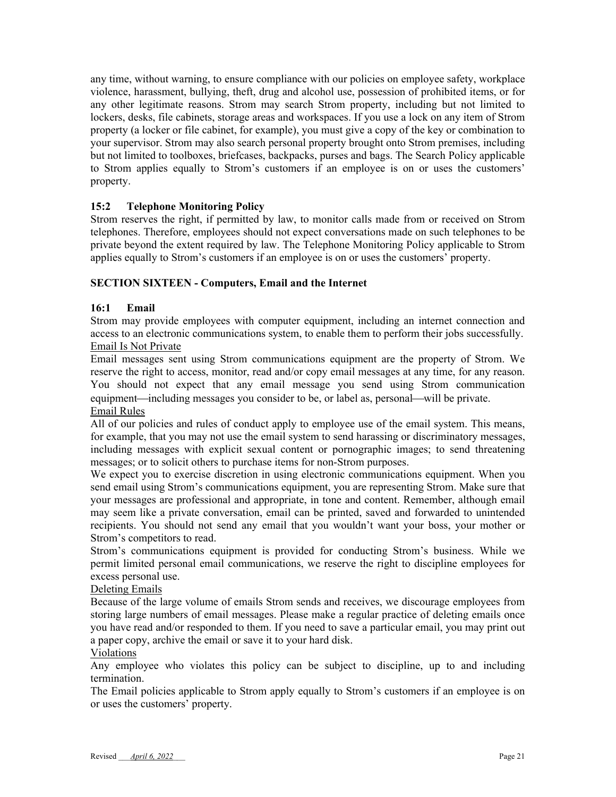any time, without warning, to ensure compliance with our policies on employee safety, workplace violence, harassment, bullying, theft, drug and alcohol use, possession of prohibited items, or for any other legitimate reasons. Strom may search Strom property, including but not limited to lockers, desks, file cabinets, storage areas and workspaces. If you use a lock on any item of Strom property (a locker or file cabinet, for example), you must give a copy of the key or combination to your supervisor. Strom may also search personal property brought onto Strom premises, including but not limited to toolboxes, briefcases, backpacks, purses and bags. The Search Policy applicable to Strom applies equally to Strom's customers if an employee is on or uses the customers' property.

## **15:2 Telephone Monitoring Policy**

Strom reserves the right, if permitted by law, to monitor calls made from or received on Strom telephones. Therefore, employees should not expect conversations made on such telephones to be private beyond the extent required by law. The Telephone Monitoring Policy applicable to Strom applies equally to Strom's customers if an employee is on or uses the customers' property.

#### **SECTION SIXTEEN - Computers, Email and the Internet**

#### **16:1 Email**

Strom may provide employees with computer equipment, including an internet connection and access to an electronic communications system, to enable them to perform their jobs successfully. Email Is Not Private

Email messages sent using Strom communications equipment are the property of Strom. We reserve the right to access, monitor, read and/or copy email messages at any time, for any reason. You should not expect that any email message you send using Strom communication equipment—including messages you consider to be, or label as, personal—will be private. Email Rules

All of our policies and rules of conduct apply to employee use of the email system. This means, for example, that you may not use the email system to send harassing or discriminatory messages, including messages with explicit sexual content or pornographic images; to send threatening messages; or to solicit others to purchase items for non-Strom purposes.

We expect you to exercise discretion in using electronic communications equipment. When you send email using Strom's communications equipment, you are representing Strom. Make sure that your messages are professional and appropriate, in tone and content. Remember, although email may seem like a private conversation, email can be printed, saved and forwarded to unintended recipients. You should not send any email that you wouldn't want your boss, your mother or Strom's competitors to read.

Strom's communications equipment is provided for conducting Strom's business. While we permit limited personal email communications, we reserve the right to discipline employees for excess personal use.

## Deleting Emails

Because of the large volume of emails Strom sends and receives, we discourage employees from storing large numbers of email messages. Please make a regular practice of deleting emails once you have read and/or responded to them. If you need to save a particular email, you may print out a paper copy, archive the email or save it to your hard disk.

#### Violations

Any employee who violates this policy can be subject to discipline, up to and including termination.

The Email policies applicable to Strom apply equally to Strom's customers if an employee is on or uses the customers' property.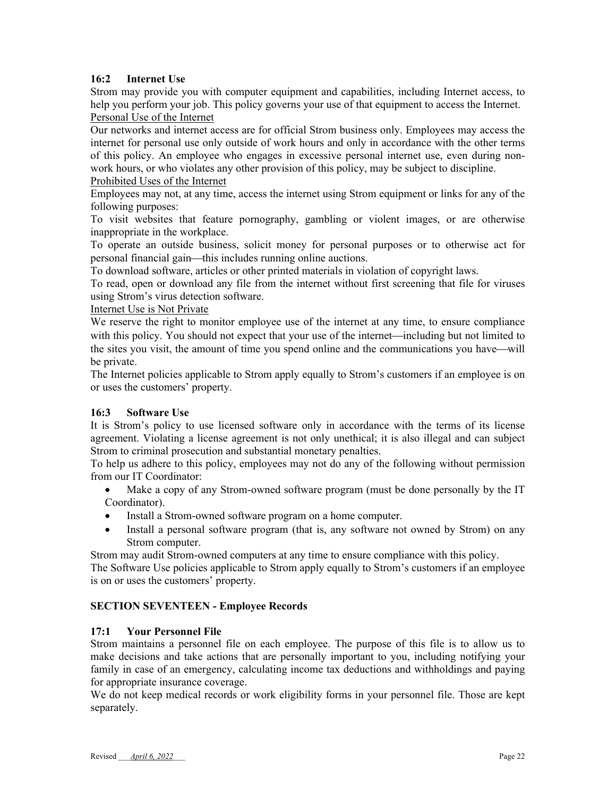## **16:2 Internet Use**

Strom may provide you with computer equipment and capabilities, including Internet access, to help you perform your job. This policy governs your use of that equipment to access the Internet. Personal Use of the Internet

Our networks and internet access are for official Strom business only. Employees may access the internet for personal use only outside of work hours and only in accordance with the other terms of this policy. An employee who engages in excessive personal internet use, even during nonwork hours, or who violates any other provision of this policy, may be subject to discipline. Prohibited Uses of the Internet

Employees may not, at any time, access the internet using Strom equipment or links for any of the following purposes:

To visit websites that feature pornography, gambling or violent images, or are otherwise inappropriate in the workplace.

To operate an outside business, solicit money for personal purposes or to otherwise act for personal financial gain—this includes running online auctions.

To download software, articles or other printed materials in violation of copyright laws.

To read, open or download any file from the internet without first screening that file for viruses using Strom's virus detection software.

#### Internet Use is Not Private

We reserve the right to monitor employee use of the internet at any time, to ensure compliance with this policy. You should not expect that your use of the internet—including but not limited to the sites you visit, the amount of time you spend online and the communications you have—will be private.

The Internet policies applicable to Strom apply equally to Strom's customers if an employee is on or uses the customers' property.

#### **16:3 Software Use**

It is Strom's policy to use licensed software only in accordance with the terms of its license agreement. Violating a license agreement is not only unethical; it is also illegal and can subject Strom to criminal prosecution and substantial monetary penalties.

To help us adhere to this policy, employees may not do any of the following without permission from our IT Coordinator:

- Make a copy of any Strom-owned software program (must be done personally by the IT Coordinator).
- Install a Strom-owned software program on a home computer.
- Install a personal software program (that is, any software not owned by Strom) on any Strom computer.

Strom may audit Strom-owned computers at any time to ensure compliance with this policy.

The Software Use policies applicable to Strom apply equally to Strom's customers if an employee is on or uses the customers' property.

## **SECTION SEVENTEEN - Employee Records**

#### **17:1 Your Personnel File**

Strom maintains a personnel file on each employee. The purpose of this file is to allow us to make decisions and take actions that are personally important to you, including notifying your family in case of an emergency, calculating income tax deductions and withholdings and paying for appropriate insurance coverage.

We do not keep medical records or work eligibility forms in your personnel file. Those are kept separately.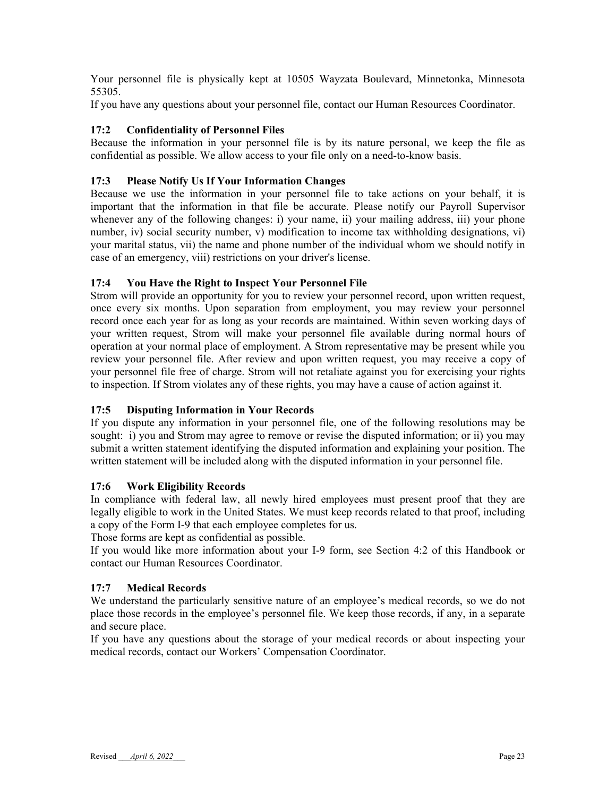Your personnel file is physically kept at 10505 Wayzata Boulevard, Minnetonka, Minnesota 55305.

If you have any questions about your personnel file, contact our Human Resources Coordinator.

#### **17:2 Confidentiality of Personnel Files**

Because the information in your personnel file is by its nature personal, we keep the file as confidential as possible. We allow access to your file only on a need-to-know basis.

## **17:3 Please Notify Us If Your Information Changes**

Because we use the information in your personnel file to take actions on your behalf, it is important that the information in that file be accurate. Please notify our Payroll Supervisor whenever any of the following changes: i) your name, ii) your mailing address, iii) your phone number, iv) social security number, v) modification to income tax withholding designations, vi) your marital status, vii) the name and phone number of the individual whom we should notify in case of an emergency, viii) restrictions on your driver's license.

## **17:4 You Have the Right to Inspect Your Personnel File**

Strom will provide an opportunity for you to review your personnel record, upon written request, once every six months. Upon separation from employment, you may review your personnel record once each year for as long as your records are maintained. Within seven working days of your written request, Strom will make your personnel file available during normal hours of operation at your normal place of employment. A Strom representative may be present while you review your personnel file. After review and upon written request, you may receive a copy of your personnel file free of charge. Strom will not retaliate against you for exercising your rights to inspection. If Strom violates any of these rights, you may have a cause of action against it.

## **17:5 Disputing Information in Your Records**

If you dispute any information in your personnel file, one of the following resolutions may be sought: i) you and Strom may agree to remove or revise the disputed information; or ii) you may submit a written statement identifying the disputed information and explaining your position. The written statement will be included along with the disputed information in your personnel file.

#### **17:6 Work Eligibility Records**

In compliance with federal law, all newly hired employees must present proof that they are legally eligible to work in the United States. We must keep records related to that proof, including a copy of the Form I-9 that each employee completes for us.

Those forms are kept as confidential as possible.

If you would like more information about your I-9 form, see Section 4:2 of this Handbook or contact our Human Resources Coordinator.

#### **17:7 Medical Records**

We understand the particularly sensitive nature of an employee's medical records, so we do not place those records in the employee's personnel file. We keep those records, if any, in a separate and secure place.

If you have any questions about the storage of your medical records or about inspecting your medical records, contact our Workers' Compensation Coordinator.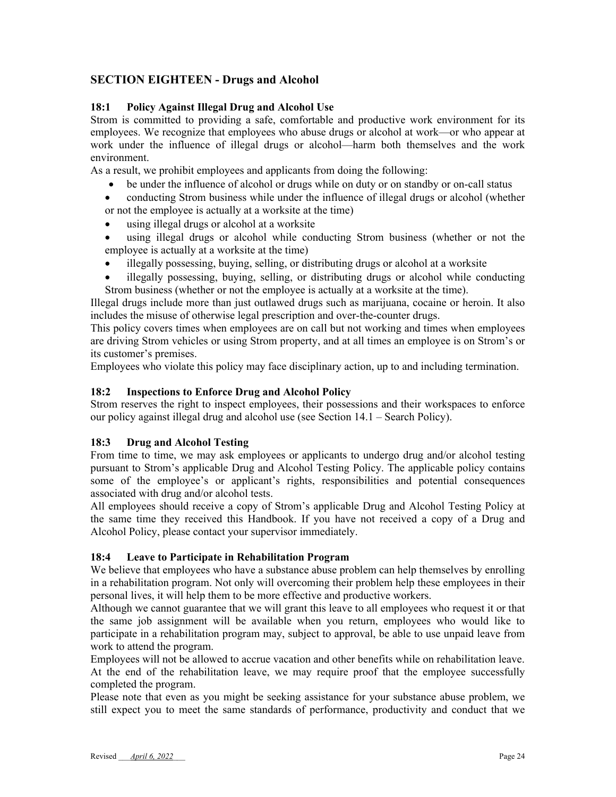## **SECTION EIGHTEEN - Drugs and Alcohol**

#### **18:1 Policy Against Illegal Drug and Alcohol Use**

Strom is committed to providing a safe, comfortable and productive work environment for its employees. We recognize that employees who abuse drugs or alcohol at work—or who appear at work under the influence of illegal drugs or alcohol—harm both themselves and the work environment.

As a result, we prohibit employees and applicants from doing the following:

- be under the influence of alcohol or drugs while on duty or on standby or on-call status
- conducting Strom business while under the influence of illegal drugs or alcohol (whether or not the employee is actually at a worksite at the time)
- using illegal drugs or alcohol at a worksite
- using illegal drugs or alcohol while conducting Strom business (whether or not the employee is actually at a worksite at the time)
- illegally possessing, buying, selling, or distributing drugs or alcohol at a worksite
- illegally possessing, buying, selling, or distributing drugs or alcohol while conducting Strom business (whether or not the employee is actually at a worksite at the time).

Illegal drugs include more than just outlawed drugs such as marijuana, cocaine or heroin. It also includes the misuse of otherwise legal prescription and over-the-counter drugs.

This policy covers times when employees are on call but not working and times when employees are driving Strom vehicles or using Strom property, and at all times an employee is on Strom's or its customer's premises.

Employees who violate this policy may face disciplinary action, up to and including termination.

#### **18:2 Inspections to Enforce Drug and Alcohol Policy**

Strom reserves the right to inspect employees, their possessions and their workspaces to enforce our policy against illegal drug and alcohol use (see Section 14.1 – Search Policy).

#### **18:3 Drug and Alcohol Testing**

From time to time, we may ask employees or applicants to undergo drug and/or alcohol testing pursuant to Strom's applicable Drug and Alcohol Testing Policy. The applicable policy contains some of the employee's or applicant's rights, responsibilities and potential consequences associated with drug and/or alcohol tests.

All employees should receive a copy of Strom's applicable Drug and Alcohol Testing Policy at the same time they received this Handbook. If you have not received a copy of a Drug and Alcohol Policy, please contact your supervisor immediately.

#### **18:4 Leave to Participate in Rehabilitation Program**

We believe that employees who have a substance abuse problem can help themselves by enrolling in a rehabilitation program. Not only will overcoming their problem help these employees in their personal lives, it will help them to be more effective and productive workers.

Although we cannot guarantee that we will grant this leave to all employees who request it or that the same job assignment will be available when you return, employees who would like to participate in a rehabilitation program may, subject to approval, be able to use unpaid leave from work to attend the program.

Employees will not be allowed to accrue vacation and other benefits while on rehabilitation leave. At the end of the rehabilitation leave, we may require proof that the employee successfully completed the program.

Please note that even as you might be seeking assistance for your substance abuse problem, we still expect you to meet the same standards of performance, productivity and conduct that we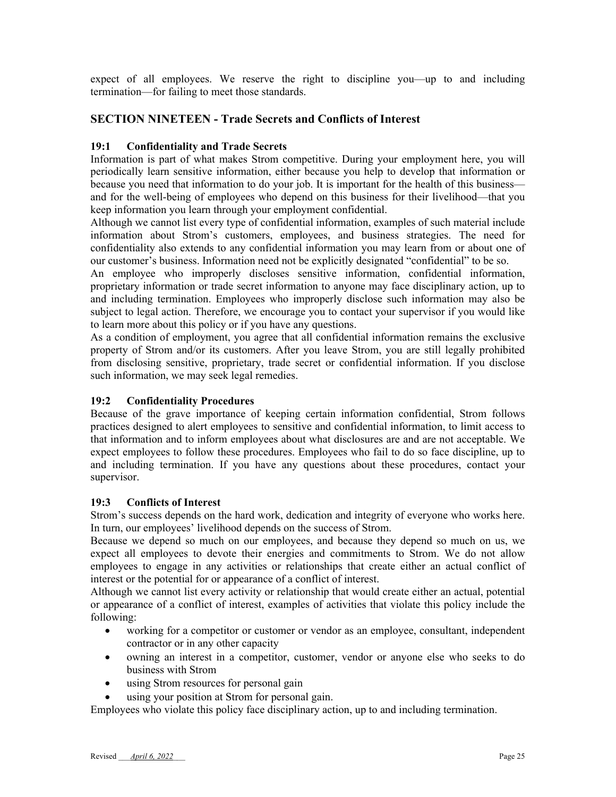expect of all employees. We reserve the right to discipline you—up to and including termination—for failing to meet those standards.

## **SECTION NINETEEN - Trade Secrets and Conflicts of Interest**

#### **19:1 Confidentiality and Trade Secrets**

Information is part of what makes Strom competitive. During your employment here, you will periodically learn sensitive information, either because you help to develop that information or because you need that information to do your job. It is important for the health of this business and for the well-being of employees who depend on this business for their livelihood—that you keep information you learn through your employment confidential.

Although we cannot list every type of confidential information, examples of such material include information about Strom's customers, employees, and business strategies. The need for confidentiality also extends to any confidential information you may learn from or about one of our customer's business. Information need not be explicitly designated "confidential" to be so.

An employee who improperly discloses sensitive information, confidential information, proprietary information or trade secret information to anyone may face disciplinary action, up to and including termination. Employees who improperly disclose such information may also be subject to legal action. Therefore, we encourage you to contact your supervisor if you would like to learn more about this policy or if you have any questions.

As a condition of employment, you agree that all confidential information remains the exclusive property of Strom and/or its customers. After you leave Strom, you are still legally prohibited from disclosing sensitive, proprietary, trade secret or confidential information. If you disclose such information, we may seek legal remedies.

#### **19:2 Confidentiality Procedures**

Because of the grave importance of keeping certain information confidential, Strom follows practices designed to alert employees to sensitive and confidential information, to limit access to that information and to inform employees about what disclosures are and are not acceptable. We expect employees to follow these procedures. Employees who fail to do so face discipline, up to and including termination. If you have any questions about these procedures, contact your supervisor.

#### **19:3 Conflicts of Interest**

Strom's success depends on the hard work, dedication and integrity of everyone who works here. In turn, our employees' livelihood depends on the success of Strom.

Because we depend so much on our employees, and because they depend so much on us, we expect all employees to devote their energies and commitments to Strom. We do not allow employees to engage in any activities or relationships that create either an actual conflict of interest or the potential for or appearance of a conflict of interest.

Although we cannot list every activity or relationship that would create either an actual, potential or appearance of a conflict of interest, examples of activities that violate this policy include the following:

- working for a competitor or customer or vendor as an employee, consultant, independent contractor or in any other capacity
- owning an interest in a competitor, customer, vendor or anyone else who seeks to do business with Strom
- using Strom resources for personal gain
- using your position at Strom for personal gain.

Employees who violate this policy face disciplinary action, up to and including termination.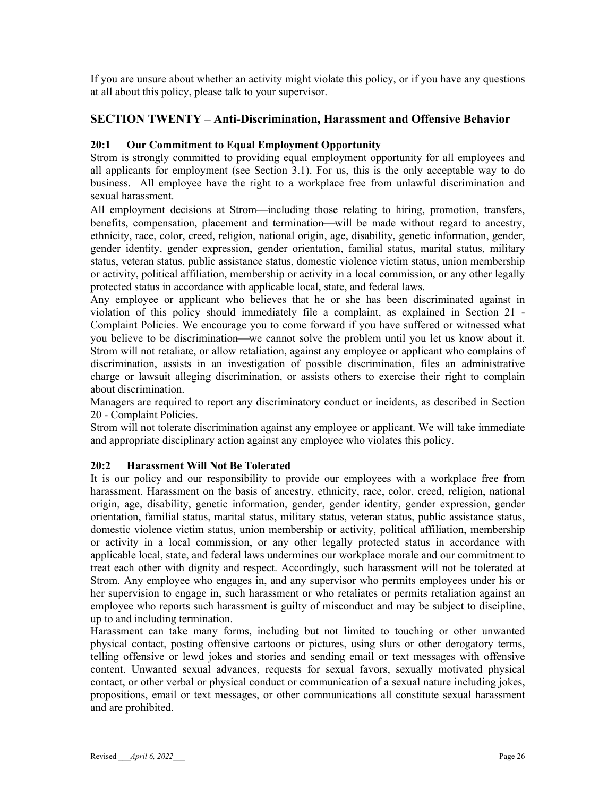If you are unsure about whether an activity might violate this policy, or if you have any questions at all about this policy, please talk to your supervisor.

## **SECTION TWENTY – Anti-Discrimination, Harassment and Offensive Behavior**

#### **20:1 Our Commitment to Equal Employment Opportunity**

Strom is strongly committed to providing equal employment opportunity for all employees and all applicants for employment (see Section 3.1). For us, this is the only acceptable way to do business. All employee have the right to a workplace free from unlawful discrimination and sexual harassment.

All employment decisions at Strom—including those relating to hiring, promotion, transfers, benefits, compensation, placement and termination—will be made without regard to ancestry, ethnicity, race, color, creed, religion, national origin, age, disability, genetic information, gender, gender identity, gender expression, gender orientation, familial status, marital status, military status, veteran status, public assistance status, domestic violence victim status, union membership or activity, political affiliation, membership or activity in a local commission, or any other legally protected status in accordance with applicable local, state, and federal laws.

Any employee or applicant who believes that he or she has been discriminated against in violation of this policy should immediately file a complaint, as explained in Section 21 - Complaint Policies. We encourage you to come forward if you have suffered or witnessed what you believe to be discrimination—we cannot solve the problem until you let us know about it. Strom will not retaliate, or allow retaliation, against any employee or applicant who complains of discrimination, assists in an investigation of possible discrimination, files an administrative charge or lawsuit alleging discrimination, or assists others to exercise their right to complain about discrimination.

Managers are required to report any discriminatory conduct or incidents, as described in Section 20 - Complaint Policies.

Strom will not tolerate discrimination against any employee or applicant. We will take immediate and appropriate disciplinary action against any employee who violates this policy.

#### **20:2 Harassment Will Not Be Tolerated**

It is our policy and our responsibility to provide our employees with a workplace free from harassment. Harassment on the basis of ancestry, ethnicity, race, color, creed, religion, national origin, age, disability, genetic information, gender, gender identity, gender expression, gender orientation, familial status, marital status, military status, veteran status, public assistance status, domestic violence victim status, union membership or activity, political affiliation, membership or activity in a local commission, or any other legally protected status in accordance with applicable local, state, and federal laws undermines our workplace morale and our commitment to treat each other with dignity and respect. Accordingly, such harassment will not be tolerated at Strom. Any employee who engages in, and any supervisor who permits employees under his or her supervision to engage in, such harassment or who retaliates or permits retaliation against an employee who reports such harassment is guilty of misconduct and may be subject to discipline, up to and including termination.

Harassment can take many forms, including but not limited to touching or other unwanted physical contact, posting offensive cartoons or pictures, using slurs or other derogatory terms, telling offensive or lewd jokes and stories and sending email or text messages with offensive content. Unwanted sexual advances, requests for sexual favors, sexually motivated physical contact, or other verbal or physical conduct or communication of a sexual nature including jokes, propositions, email or text messages, or other communications all constitute sexual harassment and are prohibited.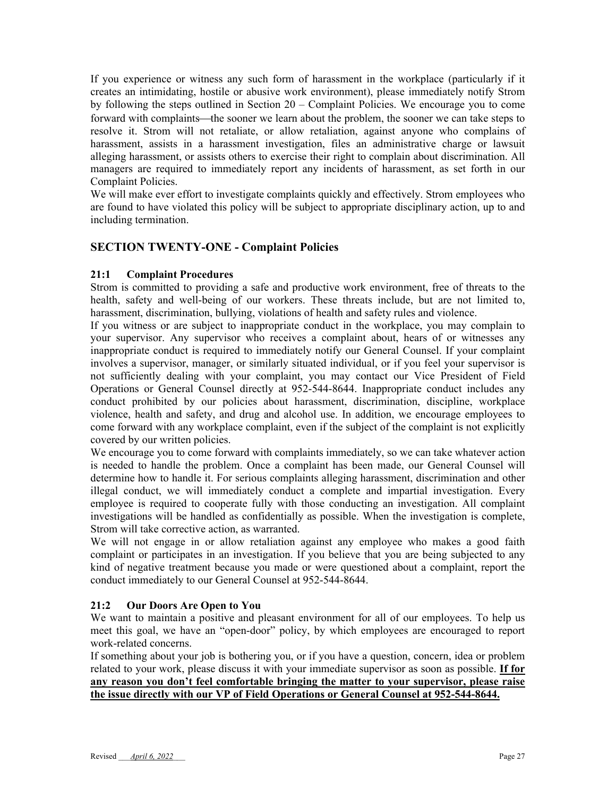If you experience or witness any such form of harassment in the workplace (particularly if it creates an intimidating, hostile or abusive work environment), please immediately notify Strom by following the steps outlined in Section 20 – Complaint Policies. We encourage you to come forward with complaints—the sooner we learn about the problem, the sooner we can take steps to resolve it. Strom will not retaliate, or allow retaliation, against anyone who complains of harassment, assists in a harassment investigation, files an administrative charge or lawsuit alleging harassment, or assists others to exercise their right to complain about discrimination. All managers are required to immediately report any incidents of harassment, as set forth in our Complaint Policies.

We will make ever effort to investigate complaints quickly and effectively. Strom employees who are found to have violated this policy will be subject to appropriate disciplinary action, up to and including termination.

## **SECTION TWENTY-ONE - Complaint Policies**

#### **21:1 Complaint Procedures**

Strom is committed to providing a safe and productive work environment, free of threats to the health, safety and well-being of our workers. These threats include, but are not limited to, harassment, discrimination, bullying, violations of health and safety rules and violence.

If you witness or are subject to inappropriate conduct in the workplace, you may complain to your supervisor. Any supervisor who receives a complaint about, hears of or witnesses any inappropriate conduct is required to immediately notify our General Counsel. If your complaint involves a supervisor, manager, or similarly situated individual, or if you feel your supervisor is not sufficiently dealing with your complaint, you may contact our Vice President of Field Operations or General Counsel directly at 952-544-8644. Inappropriate conduct includes any conduct prohibited by our policies about harassment, discrimination, discipline, workplace violence, health and safety, and drug and alcohol use. In addition, we encourage employees to come forward with any workplace complaint, even if the subject of the complaint is not explicitly covered by our written policies.

We encourage you to come forward with complaints immediately, so we can take whatever action is needed to handle the problem. Once a complaint has been made, our General Counsel will determine how to handle it. For serious complaints alleging harassment, discrimination and other illegal conduct, we will immediately conduct a complete and impartial investigation. Every employee is required to cooperate fully with those conducting an investigation. All complaint investigations will be handled as confidentially as possible. When the investigation is complete, Strom will take corrective action, as warranted.

We will not engage in or allow retaliation against any employee who makes a good faith complaint or participates in an investigation. If you believe that you are being subjected to any kind of negative treatment because you made or were questioned about a complaint, report the conduct immediately to our General Counsel at 952-544-8644.

#### **21:2 Our Doors Are Open to You**

We want to maintain a positive and pleasant environment for all of our employees. To help us meet this goal, we have an "open-door" policy, by which employees are encouraged to report work-related concerns.

If something about your job is bothering you, or if you have a question, concern, idea or problem related to your work, please discuss it with your immediate supervisor as soon as possible. **If for any reason you don't feel comfortable bringing the matter to your supervisor, please raise the issue directly with our VP of Field Operations or General Counsel at 952-544-8644.**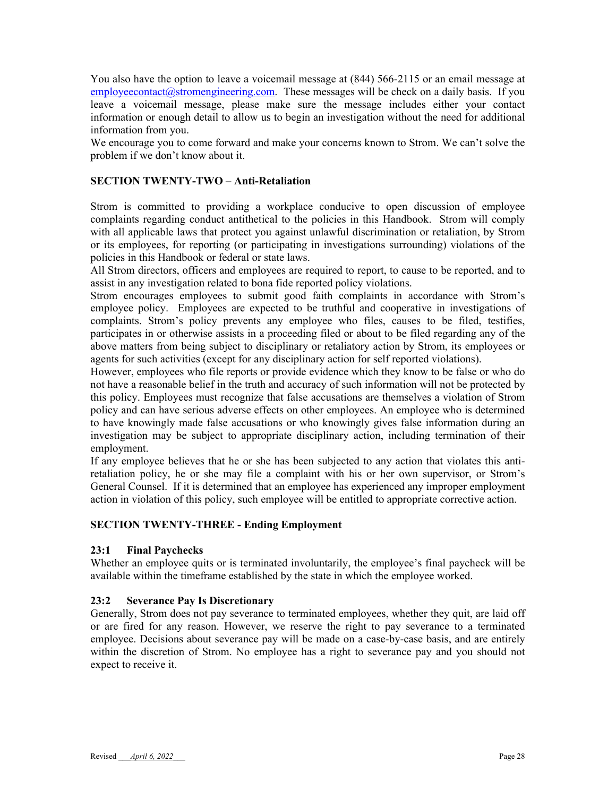You also have the option to leave a voicemail message at (844) 566-2115 or an email message at  $emplyvecontact@stromengineering.com.$  These messages will be check on a daily basis. If you leave a voicemail message, please make sure the message includes either your contact information or enough detail to allow us to begin an investigation without the need for additional information from you.

We encourage you to come forward and make your concerns known to Strom. We can't solve the problem if we don't know about it.

#### **SECTION TWENTY-TWO – Anti-Retaliation**

Strom is committed to providing a workplace conducive to open discussion of employee complaints regarding conduct antithetical to the policies in this Handbook. Strom will comply with all applicable laws that protect you against unlawful discrimination or retaliation, by Strom or its employees, for reporting (or participating in investigations surrounding) violations of the policies in this Handbook or federal or state laws.

All Strom directors, officers and employees are required to report, to cause to be reported, and to assist in any investigation related to bona fide reported policy violations.

Strom encourages employees to submit good faith complaints in accordance with Strom's employee policy. Employees are expected to be truthful and cooperative in investigations of complaints. Strom's policy prevents any employee who files, causes to be filed, testifies, participates in or otherwise assists in a proceeding filed or about to be filed regarding any of the above matters from being subject to disciplinary or retaliatory action by Strom, its employees or agents for such activities (except for any disciplinary action for self reported violations).

However, employees who file reports or provide evidence which they know to be false or who do not have a reasonable belief in the truth and accuracy of such information will not be protected by this policy. Employees must recognize that false accusations are themselves a violation of Strom policy and can have serious adverse effects on other employees. An employee who is determined to have knowingly made false accusations or who knowingly gives false information during an investigation may be subject to appropriate disciplinary action, including termination of their employment.

If any employee believes that he or she has been subjected to any action that violates this antiretaliation policy, he or she may file a complaint with his or her own supervisor, or Strom's General Counsel. If it is determined that an employee has experienced any improper employment action in violation of this policy, such employee will be entitled to appropriate corrective action.

#### **SECTION TWENTY-THREE - Ending Employment**

#### **23:1 Final Paychecks**

Whether an employee quits or is terminated involuntarily, the employee's final paycheck will be available within the timeframe established by the state in which the employee worked.

#### **23:2 Severance Pay Is Discretionary**

Generally, Strom does not pay severance to terminated employees, whether they quit, are laid off or are fired for any reason. However, we reserve the right to pay severance to a terminated employee. Decisions about severance pay will be made on a case-by-case basis, and are entirely within the discretion of Strom. No employee has a right to severance pay and you should not expect to receive it.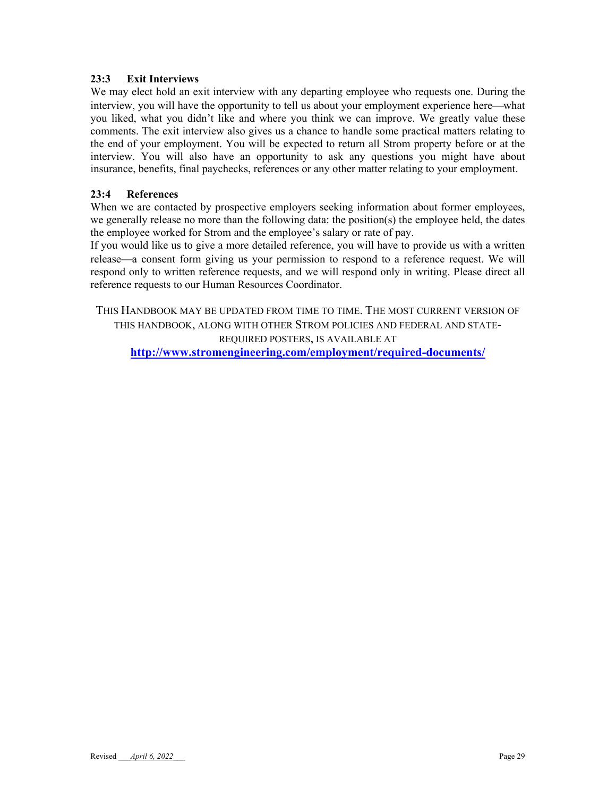## **23:3 Exit Interviews**

We may elect hold an exit interview with any departing employee who requests one. During the interview, you will have the opportunity to tell us about your employment experience here—what you liked, what you didn't like and where you think we can improve. We greatly value these comments. The exit interview also gives us a chance to handle some practical matters relating to the end of your employment. You will be expected to return all Strom property before or at the interview. You will also have an opportunity to ask any questions you might have about insurance, benefits, final paychecks, references or any other matter relating to your employment.

## **23:4 References**

When we are contacted by prospective employers seeking information about former employees, we generally release no more than the following data: the position(s) the employee held, the dates the employee worked for Strom and the employee's salary or rate of pay.

If you would like us to give a more detailed reference, you will have to provide us with a written release—a consent form giving us your permission to respond to a reference request. We will respond only to written reference requests, and we will respond only in writing. Please direct all reference requests to our Human Resources Coordinator.

THIS HANDBOOK MAY BE UPDATED FROM TIME TO TIME. THE MOST CURRENT VERSION OF THIS HANDBOOK, ALONG WITH OTHER STROM POLICIES AND FEDERAL AND STATE-REQUIRED POSTERS, IS AVAILABLE AT **http://www.stromengineering.com/employment/required-documents/**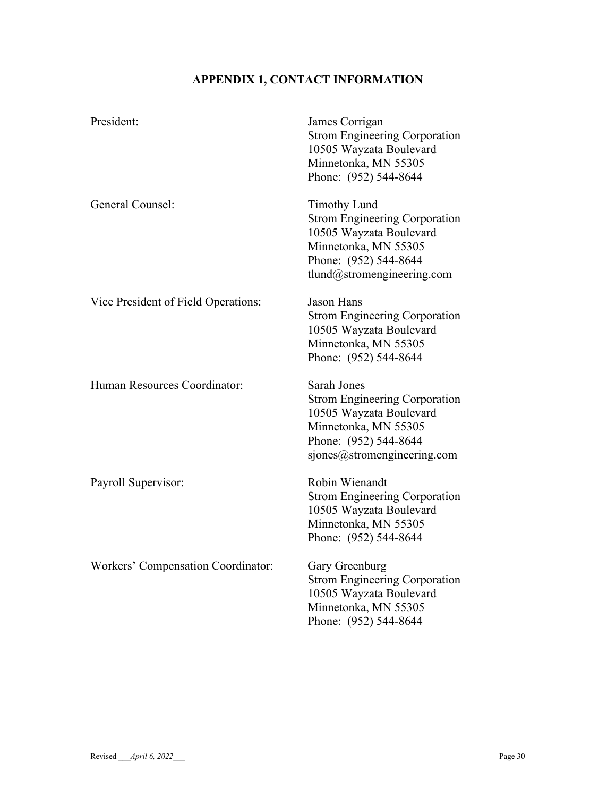# **APPENDIX 1, CONTACT INFORMATION**

| President:                          | James Corrigan<br><b>Strom Engineering Corporation</b><br>10505 Wayzata Boulevard<br>Minnetonka, MN 55305<br>Phone: (952) 544-8644                                    |
|-------------------------------------|-----------------------------------------------------------------------------------------------------------------------------------------------------------------------|
| General Counsel:                    | <b>Timothy Lund</b><br><b>Strom Engineering Corporation</b><br>10505 Wayzata Boulevard<br>Minnetonka, MN 55305<br>Phone: (952) 544-8644<br>tlund@stromengineering.com |
| Vice President of Field Operations: | <b>Jason Hans</b><br><b>Strom Engineering Corporation</b><br>10505 Wayzata Boulevard<br>Minnetonka, MN 55305<br>Phone: (952) 544-8644                                 |
| Human Resources Coordinator:        | Sarah Jones<br><b>Strom Engineering Corporation</b><br>10505 Wayzata Boulevard<br>Minnetonka, MN 55305<br>Phone: (952) 544-8644<br>sjones@stromengineering.com        |
| Payroll Supervisor:                 | Robin Wienandt<br><b>Strom Engineering Corporation</b><br>10505 Wayzata Boulevard<br>Minnetonka, MN 55305<br>Phone: (952) 544-8644                                    |
| Workers' Compensation Coordinator:  | Gary Greenburg<br><b>Strom Engineering Corporation</b><br>10505 Wayzata Boulevard<br>Minnetonka, MN 55305<br>Phone: (952) 544-8644                                    |